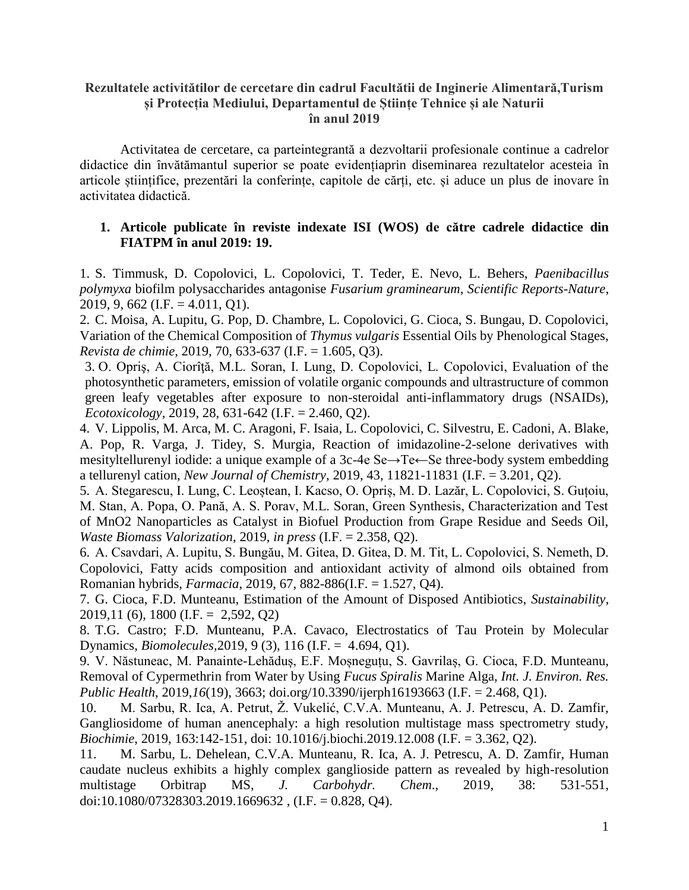## **Rezultatele activitătilor de cercetare din cadrul Facultătii de Inginerie Alimentară,Turism și Protecția Mediului, Departamentul de Științe Tehnice și ale Naturii în anul 2019**

Activitatea de cercetare, ca parteintegrantă a dezvoltarii profesionale continue a cadrelor didactice din învătămantul superior se poate evidențiaprin diseminarea rezultatelor acesteia în articole științifice, prezentări la conferințe, capitole de cărți, etc. și aduce un plus de inovare în activitatea didactică.

#### **1. Articole publicate în reviste indexate ISI (WOS) de către cadrele didactice din FIATPM ȋn anul 2019: 19.**

1. S. Timmusk, D. Copolovici, L. Copolovici, T. Teder, E. Nevo, L. Behers, *Paenibacillus polymyxa* biofilm polysaccharides antagonise *Fusarium graminearum*, *Scientific Reports-Nature*, 2019, 9, 662 (I.F. = 4.011, Q1).

2. C. Moisa, A. Lupitu, G. Pop, D. Chambre, L. Copolovici, G. Cioca, S. Bungau, D. Copolovici, Variation of the Chemical Composition of *Thymus vulgaris* Essential Oils by Phenological Stages, *Revista de chimie*, 2019, 70, 633-637 (I.F. = 1.605, Q3).

3. O. Opriş, A. Ciorîţă, M.L. Soran, I. Lung, D. Copolovici, L. Copolovici, Evaluation of the photosynthetic parameters, emission of volatile organic compounds and ultrastructure of common green leafy vegetables after exposure to non-steroidal anti-inflammatory drugs (NSAIDs), *Ecotoxicology*, 2019, 28, 631-642 (I.F. = 2.460, Q2).

4. V. Lippolis, M. Arca, M. C. Aragoni, F. Isaia, L. Copolovici, C. Silvestru, E. Cadoni, A. Blake, A. Pop, R. Varga, J. Tidey, S. Murgia, Reaction of imidazoline-2-selone derivatives with mesityltellurenyl iodide: a unique example of a 3c-4e Se→Te←Se three-body system embedding a tellurenyl cation, *New Journal of Chemistry*, 2019, 43, 11821-11831 (I.F. = 3.201, Q2).

5. A. Stegarescu, I. Lung, C. Leoștean, I. Kacso, O. Opriș, M. D. Lazăr, L. Copolovici, S. Guțoiu, M. Stan, A. Popa, O. Pană, A. S. Porav, M.L. Soran, Green Synthesis, Characterization and Test of MnO2 Nanoparticles as Catalyst in Biofuel Production from Grape Residue and Seeds Oil, *Waste Biomass Valorization*, 2019, *in press* (I.F. = 2.358, Q2).

6. A. Csavdari, A. Lupitu, S. Bungău, M. Gitea, D. Gitea, D. M. Tit, L. Copolovici, S. Nemeth, D. Copolovici, Fatty acids composition and antioxidant activity of almond oils obtained from Romanian hybrids, *Farmacia*, 2019, 67, 882-886(I.F. = 1.527, Q4).

7. G. Cioca, F.D. Munteanu, Estimation of the Amount of Disposed Antibiotics, *Sustainability*, 2019,11 (6), 1800 (I.F. = 2,592, Q2)

8. T.G. Castro; F.D. Munteanu, P.A. Cavaco, Electrostatics of Tau Protein by Molecular Dynamics, *Biomolecules,*2019, 9 (3), 116 (I.F. = 4.694, Q1).

9. V. Năstuneac, M. Panainte-Lehăduș, E.F. Moșneguțu, S. Gavrilaș, G. Cioca, F.D. Munteanu, Removal of Cypermethrin from Water by Using *Fucus Spiralis* Marine Alga, *Int. J. Environ. Res. Public Health*, 2019,*16*(19), 3663; doi.org/10.3390/ijerph16193663 (I.F. = 2.468, Q1).

10. M. Sarbu, R. Ica, A. Petrut, Ž. Vukelić, C.V.A. Munteanu, A. J. Petrescu, A. D. Zamfir, Gangliosidome of human anencephaly: a high resolution multistage mass spectrometry study, *Biochimie*, 2019, 163:142-151, doi: 10.1016/j.biochi.2019.12.008 (I.F. = 3.362, Q2).

11. M. Sarbu, L. Dehelean, C.V.A. Munteanu, R. Ica, A. J. Petrescu, A. D. Zamfir, Human caudate nucleus exhibits a highly complex ganglioside pattern as revealed by high-resolution multistage Orbitrap MS, *J. Carbohydr. Chem*., 2019, 38: 531-551, doi:10.1080/07328303.2019.1669632, (I.F. = 0.828, Q4).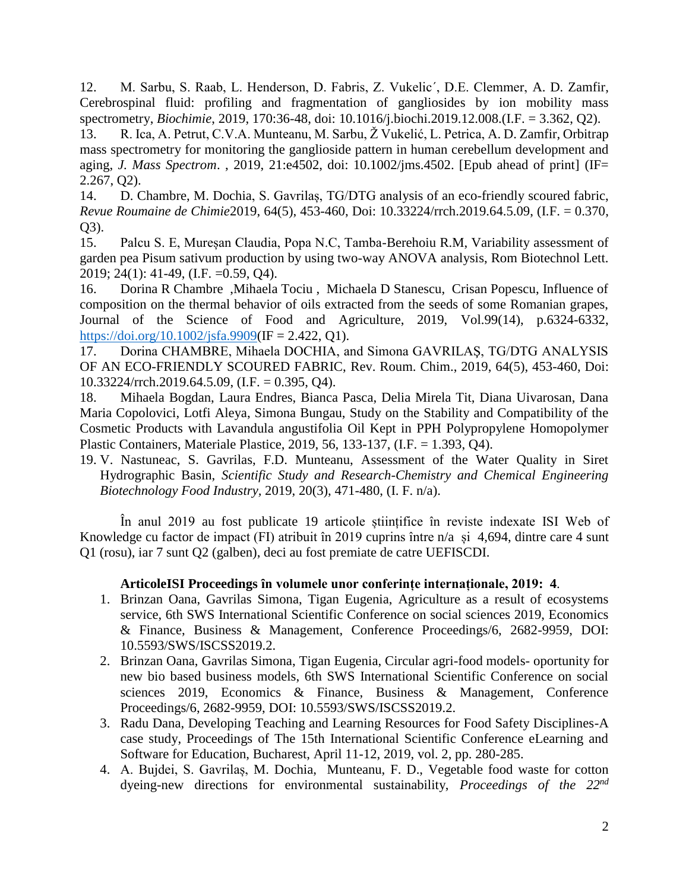12. M. Sarbu, S. Raab, L. Henderson, D. Fabris, Z. Vukelic´, D.E. Clemmer, A. D. Zamfir, Cerebrospinal fluid: profiling and fragmentation of gangliosides by ion mobility mass spectrometry, *Biochimie*, 2019, 170:36-48, doi: 10.1016/j.biochi.2019.12.008.(I.F. = 3.362, Q2).

13. R. Ica, A. Petrut, C.V.A. Munteanu, M. Sarbu, Ž Vukelić, L. Petrica, A. D. Zamfir, Orbitrap mass spectrometry for monitoring the ganglioside pattern in human cerebellum development and aging, *J. Mass Spectrom*. , 2019, 21:e4502, doi: 10.1002/jms.4502. [Epub ahead of print] (IF= 2.267, Q2).

14. D. Chambre, M. Dochia, S. Gavrilaș, TG/DTG analysis of an eco-friendly scoured fabric, *Revue Roumaine de Chimie*2019, 64(5), 453-460, Doi: 10.33224/rrch.2019.64.5.09, (I.F. = 0.370, Q3).

15. Palcu S. E, Mureșan Claudia, Popa N.C, Tamba-Berehoiu R.M, Variability assessment of garden pea Pisum sativum production by using two-way ANOVA analysis, Rom Biotechnol Lett. 2019; 24(1): 41-49, (I.F. =0.59, Q4).

16. Dorina R Chambre ,Mihaela Tociu , Michaela D Stanescu, Crisan Popescu, Influence of composition on the thermal behavior of oils extracted from the seeds of some Romanian grapes, Journal of the Science of Food and Agriculture, 2019, Vol.99(14), p.6324-6332, [https://doi.org/10.1002/jsfa.9909\(](https://doi.org/10.1002/jsfa.9909)IF = 2.422, Q1).

17. Dorina CHAMBRE, Mihaela DOCHIA, and Simona GAVRILAŞ, TG/DTG ANALYSIS OF AN ECO-FRIENDLY SCOURED FABRIC, Rev. Roum. Chim., 2019, 64(5), 453-460, Doi: 10.33224/rrch.2019.64.5.09, (I.F. = 0.395, Q4).

18. Mihaela Bogdan, Laura Endres, Bianca Pasca, Delia Mirela Tit, Diana Uivarosan, Dana Maria Copolovici, Lotfi Aleya, Simona Bungau, Study on the Stability and Compatibility of the Cosmetic Products with Lavandula angustifolia Oil Kept in PPH Polypropylene Homopolymer Plastic Containers, Materiale Plastice, 2019, 56, 133-137, (I.F. = 1.393, Q4).

19. V. Nastuneac, S. Gavrilas, F.D. Munteanu, Assessment of the Water Quality in Siret Hydrographic Basin, *Scientific Study and Research-Chemistry and Chemical Engineering Biotechnology Food Industry,* 2019, 20(3), 471-480, (I. F. n/a).

În anul 2019 au fost publicate 19 articole științifice în reviste indexate ISI Web of Knowledge cu factor de impact (FI) atribuit în 2019 cuprins între n/a și 4,694, dintre care 4 sunt Q1 (rosu), iar 7 sunt Q2 (galben), deci au fost premiate de catre UEFISCDI.

# **ArticoleISI Proceedings ȋn volumele unor conferințe internaționale, 2019: 4**.

- 1. Brinzan Oana, Gavrilas Simona, Tigan Eugenia, Agriculture as a result of ecosystems service, 6th SWS International Scientific Conference on social sciences 2019, Economics & Finance, Business & Management, Conference Proceedings/6, 2682-9959, DOI: 10.5593/SWS/ISCSS2019.2.
- 2. Brinzan Oana, Gavrilas Simona, Tigan Eugenia, Circular agri-food models- oportunity for new bio based business models, 6th SWS International Scientific Conference on social sciences 2019, Economics & Finance, Business & Management, Conference Proceedings/6, 2682-9959, DOI: 10.5593/SWS/ISCSS2019.2.
- 3. Radu Dana, Developing Teaching and Learning Resources for Food Safety Disciplines-A case study, Proceedings of The 15th International Scientific Conference eLearning and Software for Education, Bucharest, April 11-12, 2019, vol. 2, pp. 280-285.
- 4. A. Bujdei, S. Gavrilaș, M. Dochia, Munteanu, F. D., Vegetable food waste for cotton dyeing-new directions for environmental sustainability, *Proceedings of the 22nd*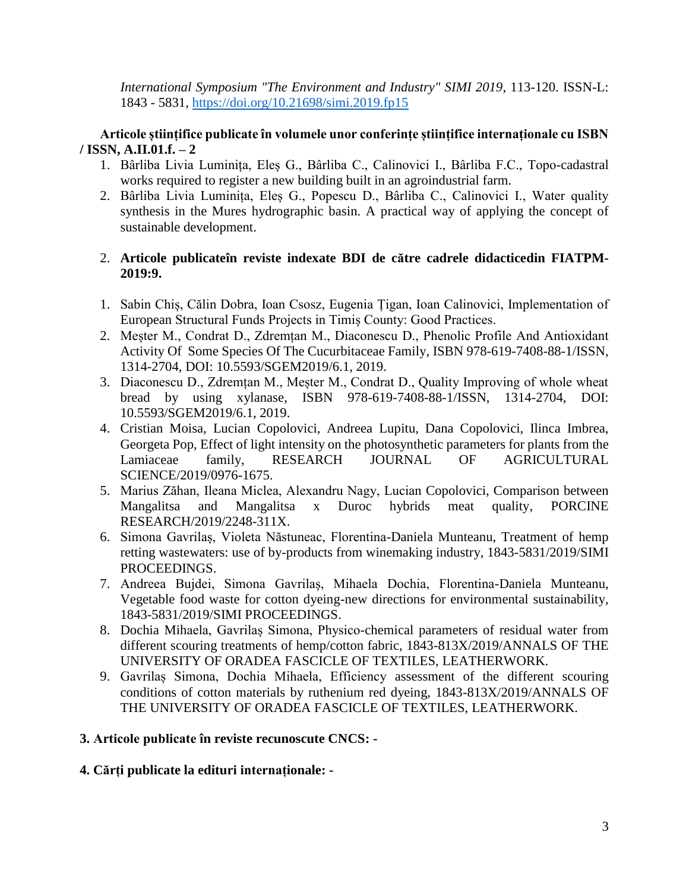*International Symposium "The Environment and Industry" SIMI 2019*, 113-120. ISSN-L: 1843 - 5831,<https://doi.org/10.21698/simi.2019.fp15>

## **Articole științifice publicate în volumele unor conferințe științifice internaționale cu ISBN / ISSN, A.II.01.f. – 2**

- 1. Bârliba Livia Luminița, Eleș G., Bârliba C., Calinovici I., Bârliba F.C., Topo-cadastral works required to register a new building built in an agroindustrial farm.
- 2. Bârliba Livia Luminița, Eleș G., Popescu D., Bârliba C., Calinovici I., Water quality synthesis in the Mures hydrographic basin. A practical way of applying the concept of sustainable development.

## 2. **Articole publicateîn reviste indexate BDI de către cadrele didacticedin FIATPM-2019:9.**

- 1. Sabin Chiș, Călin Dobra, Ioan Csosz, Eugenia Țigan, Ioan Calinovici, Implementation of European Structural Funds Projects in Timiș County: Good Practices.
- 2. Meșter M., Condrat D., Zdremțan M., Diaconescu D., Phenolic Profile And Antioxidant Activity Of Some Species Of The Cucurbitaceae Family, ISBN 978-619-7408-88-1/ISSN, 1314-2704, DOI: 10.5593/SGEM2019/6.1, 2019.
- 3. Diaconescu D., Zdremțan M., Meșter M., Condrat D., Quality Improving of whole wheat bread by using xylanase, ISBN 978-619-7408-88-1/ISSN, 1314-2704, DOI: 10.5593/SGEM2019/6.1, 2019.
- 4. Cristian Moisa, Lucian Copolovici, Andreea Lupitu, Dana Copolovici, Ilinca Imbrea, Georgeta Pop, Effect of light intensity on the photosynthetic parameters for plants from the Lamiaceae family, RESEARCH JOURNAL OF AGRICULTURAL SCIENCE/2019/0976-1675.
- 5. Marius Zăhan, Ileana Miclea, Alexandru Nagy, Lucian Copolovici, Comparison between Mangalitsa and Mangalitsa x Duroc hybrids meat quality, PORCINE RESEARCH/2019/2248-311X.
- 6. Simona Gavrilaș, Violeta Năstuneac, Florentina-Daniela Munteanu, Treatment of hemp retting wastewaters: use of by-products from winemaking industry, 1843-5831/2019/SIMI PROCEEDINGS.
- 7. Andreea Bujdei, Simona Gavrilaș, Mihaela Dochia, Florentina-Daniela Munteanu, Vegetable food waste for cotton dyeing-new directions for environmental sustainability, 1843-5831/2019/SIMI PROCEEDINGS.
- 8. Dochia Mihaela, Gavrilaș Simona, Physico-chemical parameters of residual water from different scouring treatments of hemp/cotton fabric, 1843-813X/2019/ANNALS OF THE UNIVERSITY OF ORADEA FASCICLE OF TEXTILES, LEATHERWORK.
- 9. Gavrilaș Simona, Dochia Mihaela, Efficiency assessment of the different scouring conditions of cotton materials by ruthenium red dyeing, 1843-813X/2019/ANNALS OF THE UNIVERSITY OF ORADEA FASCICLE OF TEXTILES, LEATHERWORK.

## **3. Articole publicate în reviste recunoscute CNCS: -**

# **4. Cărți publicate la edituri internaționale: -**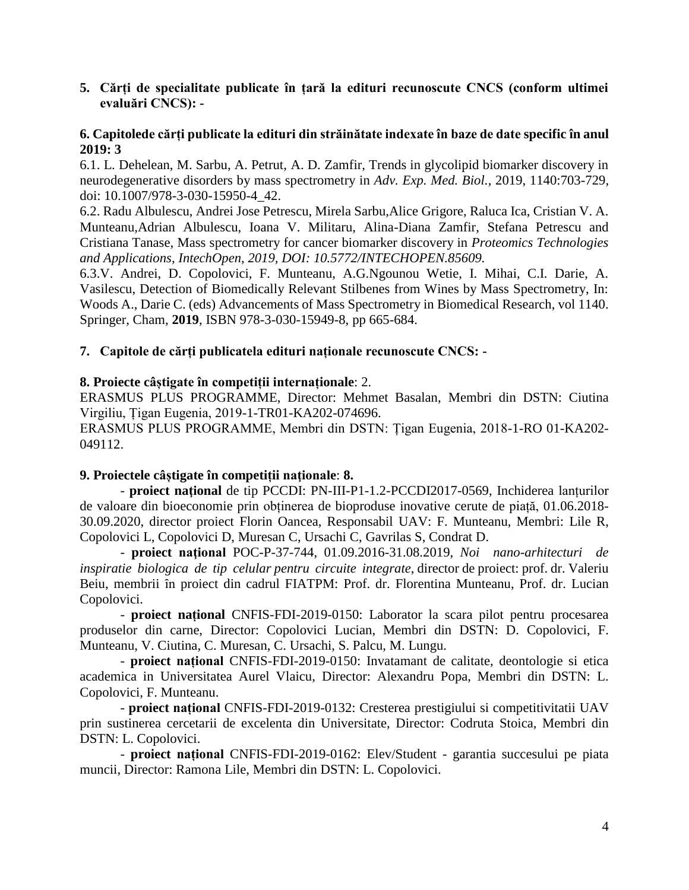**5. Cărți de specialitate publicate în țară la edituri recunoscute CNCS (conform ultimei evaluări CNCS): -**

## **6. Capitolede cărți publicate la edituri din străinătate indexate în baze de date specific în anul 2019: 3**

6.1. L. Dehelean, M. Sarbu, A. Petrut, A. D. Zamfir, Trends in glycolipid biomarker discovery in neurodegenerative disorders by mass spectrometry in *Adv. Exp. Med. Biol.*, 2019, 1140:703-729, doi: 10.1007/978-3-030-15950-4\_42.

6.2. Radu Albulescu, Andrei Jose Petrescu, Mirela Sarbu,Alice Grigore, Raluca Ica, Cristian V. A. Munteanu,Adrian Albulescu, Ioana V. Militaru, Alina-Diana Zamfir, Stefana Petrescu and Cristiana Tanase, Mass spectrometry for cancer biomarker discovery in *Proteomics Technologies and Applications, IntechOpen, 2019, DOI: 10.5772/INTECHOPEN.85609.*

6.3.V. Andrei, D. Copolovici, F. Munteanu, A.G.Ngounou Wetie, I. Mihai, C.I. Darie, A. Vasilescu, Detection of Biomedically Relevant Stilbenes from Wines by Mass Spectrometry, In: Woods A., Darie C. (eds) Advancements of Mass Spectrometry in Biomedical Research, vol 1140. Springer, Cham, **2019**, ISBN 978-3-030-15949-8, pp 665-684.

## **7. Capitole de cărți publicatela edituri naționale recunoscute CNCS: -**

## **8. Proiecte câștigate în competiții internaționale**: 2.

ERASMUS PLUS PROGRAMME, Director: Mehmet Basalan, Membri din DSTN: Ciutina Virgiliu, Țigan Eugenia, 2019-1-TR01-KA202-074696.

ERASMUS PLUS PROGRAMME, Membri din DSTN: Țigan Eugenia, 2018-1-RO 01-KA202- 049112.

#### **9. Proiectele câștigate în competiții naţionale**: **8.**

- **proiect naţional** de tip PCCDI: PN-III-P1-1.2-PCCDI2017-0569, Inchiderea lanțurilor de valoare din bioeconomie prin obținerea de bioproduse inovative cerute de piață, 01.06.2018- 30.09.2020, director proiect Florin Oancea, Responsabil UAV: F. Munteanu, Membri: Lile R, Copolovici L, Copolovici D, Muresan C, Ursachi C, Gavrilas S, Condrat D.

- **proiect naţional** POC-P-37-744, 01.09.2016-31.08.2019, *Noi nano-arhitecturi de inspiratie biologica de tip celular pentru circuite integrate*, director de proiect: prof. dr. Valeriu Beiu, membrii în proiect din cadrul FIATPM: Prof. dr. Florentina Munteanu, Prof. dr. Lucian Copolovici.

- **proiect național** CNFIS-FDI-2019-0150: Laborator la scara pilot pentru procesarea produselor din carne, Director: Copolovici Lucian, Membri din DSTN: D. Copolovici, F. Munteanu, V. Ciutina, C. Muresan, C. Ursachi, S. Palcu, M. Lungu.

- **proiect național** CNFIS-FDI-2019-0150: Invatamant de calitate, deontologie si etica academica in Universitatea Aurel Vlaicu, Director: Alexandru Popa, Membri din DSTN: L. Copolovici, F. Munteanu.

- **proiect național** CNFIS-FDI-2019-0132: Cresterea prestigiului si competitivitatii UAV prin sustinerea cercetarii de excelenta din Universitate, Director: Codruta Stoica, Membri din DSTN: L. Copolovici.

- **proiect național** CNFIS-FDI-2019-0162: Elev/Student - garantia succesului pe piata muncii, Director: Ramona Lile, Membri din DSTN: L. Copolovici.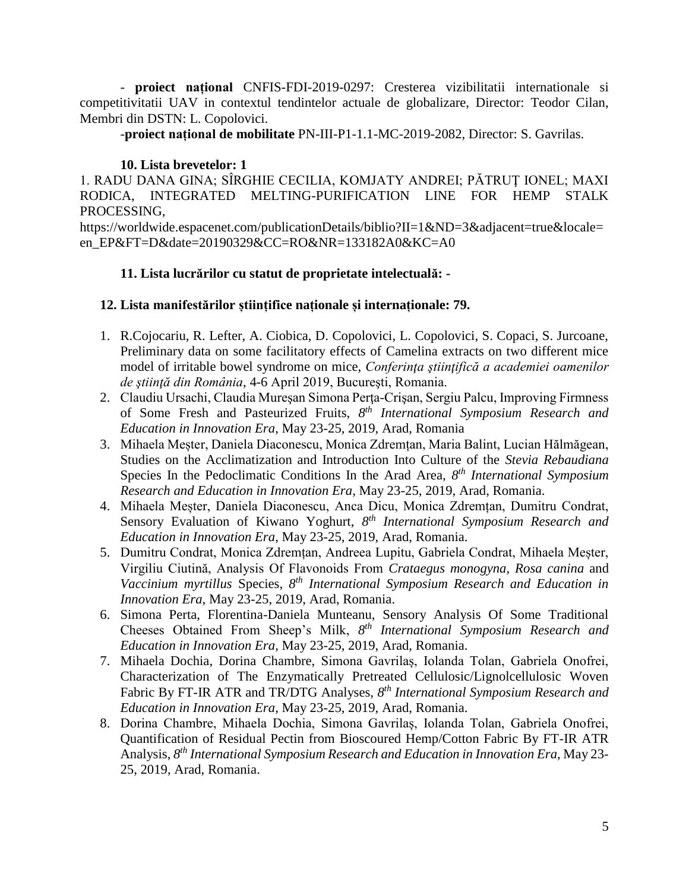- **proiect național** CNFIS-FDI-2019-0297: Cresterea vizibilitatii internationale si competitivitatii UAV in contextul tendintelor actuale de globalizare, Director: Teodor Cilan, Membri din DSTN: L. Copolovici.

-**proiect național de mobilitate** PN-III-P1-1.1-MC-2019-2082, Director: S. Gavrilas.

## **10. Lista brevetelor: 1**

1. RADU DANA GINA; SÎRGHIE CECILIA, KOMJATY ANDREI; PĂTRUŢ IONEL; MAXI RODICA, INTEGRATED MELTING-PURIFICATION LINE FOR HEMP STALK PROCESSING,

https://worldwide.espacenet.com/publicationDetails/biblio?II=1&ND=3&adjacent=true&locale= en\_EP&FT=D&date=20190329&CC=RO&NR=133182A0&KC=A0

## **11. Lista lucrărilor cu statut de proprietate intelectuală: -**

## **12. Lista manifestărilor științifice naționale și internaționale: 79.**

- 1. R.Cojocariu, R. Lefter, A. Ciobica, D. Copolovici, L. Copolovici, S. Copaci, S. Jurcoane, Preliminary data on some facilitatory effects of Camelina extracts on two different mice model of irritable bowel syndrome on mice, *Conferinţa ştiinţifică a academiei oamenilor de ştiinţă din România*, 4-6 April 2019, Bucureşti, Romania.
- 2. Claudiu Ursachi, Claudia Mureşan Simona Perţa-Crişan, Sergiu Palcu, Improving Firmness of Some Fresh and Pasteurized Fruits, *8 th International Symposium Research and Education in Innovation Era*, May 23-25, 2019, Arad, Romania
- 3. Mihaela Meșter, Daniela Diaconescu, Monica Zdremțan, Maria Balint, Lucian Hălmăgean, Studies on the Acclimatization and Introduction Into Culture of the *Stevia Rebaudiana* Species In the Pedoclimatic Conditions In the Arad Area, *8 th International Symposium Research and Education in Innovation Era*, May 23-25, 2019, Arad, Romania.
- 4. Mihaela Meșter, Daniela Diaconescu, Anca Dicu, Monica Zdremțan, Dumitru Condrat, Sensory Evaluation of Kiwano Yoghurt, 8<sup>th</sup> International Symposium Research and *Education in Innovation Era*, May 23-25, 2019, Arad, Romania.
- 5. Dumitru Condrat, Monica Zdremțan, Andreea Lupitu, Gabriela Condrat, Mihaela Meșter, Virgiliu Ciutină, Analysis Of Flavonoids From *Crataegus monogyna, Rosa canina* and Vaccinium myrtillus Species, 8<sup>th</sup> International Symposium Research and Education in *Innovation Era*, May 23-25, 2019, Arad, Romania.
- 6. Simona Perta, Florentina-Daniela Munteanu, Sensory Analysis Of Some Traditional Cheeses Obtained From Sheep's Milk, *8 th International Symposium Research and Education in Innovation Era*, May 23-25, 2019, Arad, Romania.
- 7. Mihaela Dochia, Dorina Chambre, Simona Gavrilaș, Iolanda Tolan, Gabriela Onofrei, Characterization of The Enzymatically Pretreated Cellulosic/Lignolcellulosic Woven Fabric By FT-IR ATR and TR/DTG Analyses, *8 th International Symposium Research and Education in Innovation Era*, May 23-25, 2019, Arad, Romania.
- 8. Dorina Chambre, Mihaela Dochia, Simona Gavrilaș, Iolanda Tolan, Gabriela Onofrei, Quantification of Residual Pectin from Bioscoured Hemp/Cotton Fabric By FT-IR ATR Analysis, *8 th International Symposium Research and Education in Innovation Era*, May 23- 25, 2019, Arad, Romania.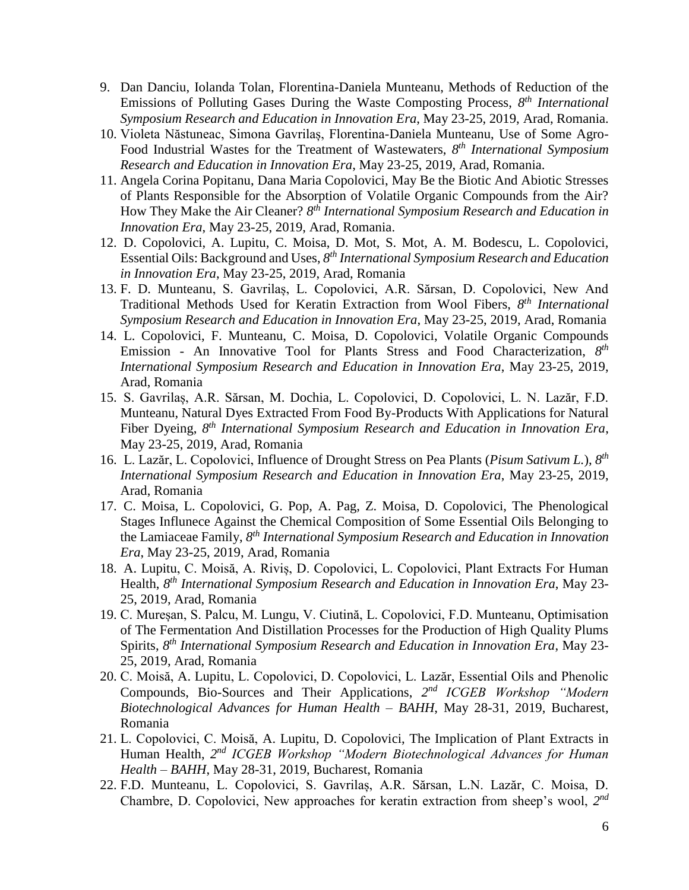- 9. Dan Danciu, Iolanda Tolan, Florentina-Daniela Munteanu, Methods of Reduction of the Emissions of Polluting Gases During the Waste Composting Process, *8 th International Symposium Research and Education in Innovation Era*, May 23-25, 2019, Arad, Romania.
- 10. Violeta Năstuneac, Simona Gavrilaș, Florentina-Daniela Munteanu, Use of Some Agro-Food Industrial Wastes for the Treatment of Wastewaters, *8 th International Symposium Research and Education in Innovation Era*, May 23-25, 2019, Arad, Romania.
- 11. Angela Corina Popitanu, Dana Maria Copolovici, May Be the Biotic And Abiotic Stresses of Plants Responsible for the Absorption of Volatile Organic Compounds from the Air? How They Make the Air Cleaner?  $8<sup>th</sup>$  *International Symposium Research and Education in Innovation Era*, May 23-25, 2019, Arad, Romania.
- 12. D. Copolovici, A. Lupitu, C. Moisa, D. Mot, S. Mot, A. M. Bodescu, L. Copolovici, Essential Oils: Background and Uses, *8 th International Symposium Research and Education in Innovation Era*, May 23-25, 2019, Arad, Romania
- 13. F. D. Munteanu, S. Gavrilaș, L. Copolovici, A.R. Sărsan, D. Copolovici, New And Traditional Methods Used for Keratin Extraction from Wool Fibers, *8 th International Symposium Research and Education in Innovation Era*, May 23-25, 2019, Arad, Romania
- 14. L. Copolovici, F. Munteanu, C. Moisa, D. Copolovici, Volatile Organic Compounds Emission - An Innovative Tool for Plants Stress and Food Characterization, 8<sup>th</sup> *International Symposium Research and Education in Innovation Era*, May 23-25, 2019, Arad, Romania
- 15. S. Gavrilaș, A.R. Sărsan, M. Dochia, L. Copolovici, D. Copolovici, L. N. Lazăr, F.D. Munteanu, Natural Dyes Extracted From Food By-Products With Applications for Natural Fiber Dyeing, *8 th International Symposium Research and Education in Innovation Era*, May 23-25, 2019, Arad, Romania
- 16. L. Lazăr, L. Copolovici, Influence of Drought Stress on Pea Plants (*Pisum Sativum L.*), *8 th International Symposium Research and Education in Innovation Era*, May 23-25, 2019, Arad, Romania
- 17. C. Moisa, L. Copolovici, G. Pop, A. Pag, Z. Moisa, D. Copolovici, The Phenological Stages Influnece Against the Chemical Composition of Some Essential Oils Belonging to the Lamiaceae Family, 8<sup>th</sup> International Symposium Research and Education in Innovation *Era*, May 23-25, 2019, Arad, Romania
- 18. A. Lupitu, C. Moisă, A. Riviș, D. Copolovici, L. Copolovici, Plant Extracts For Human Health, *8 th International Symposium Research and Education in Innovation Era*, May 23- 25, 2019, Arad, Romania
- 19. C. Mureșan, S. Palcu, M. Lungu, V. Ciutină, L. Copolovici, F.D. Munteanu, Optimisation of The Fermentation And Distillation Processes for the Production of High Quality Plums Spirits, *8 th International Symposium Research and Education in Innovation Era*, May 23- 25, 2019, Arad, Romania
- 20. C. Moisă, A. Lupitu, L. Copolovici, D. Copolovici, L. Lazăr, Essential Oils and Phenolic Compounds, Bio-Sources and Their Applications, *2 nd ICGEB Workshop "Modern Biotechnological Advances for Human Health – BAHH*, May 28-31, 2019, Bucharest, Romania
- 21. L. Copolovici, C. Moisă, A. Lupitu, D. Copolovici, The Implication of Plant Extracts in Human Health, 2<sup>nd</sup> *ICGEB Workshop "Modern Biotechnological Advances for Human Health – BAHH*, May 28-31, 2019, Bucharest, Romania
- 22. F.D. Munteanu, L. Copolovici, S. Gavrilaș, A.R. Sărsan, L.N. Lazăr, C. Moisa, D. Chambre, D. Copolovici, New approaches for keratin extraction from sheep's wool, *2 nd*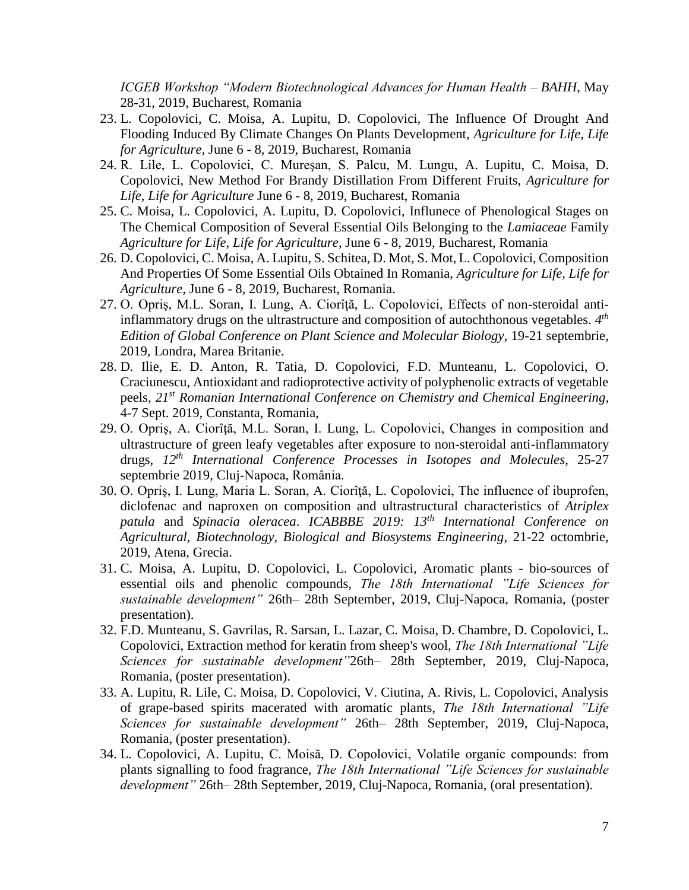*ICGEB Workshop "Modern Biotechnological Advances for Human Health – BAHH*, May 28-31, 2019, Bucharest, Romania

- 23. L. Copolovici, C. Moisa, A. Lupitu, D. Copolovici, The Influence Of Drought And Flooding Induced By Climate Changes On Plants Development, *Agriculture for Life, Life for Agriculture*, June 6 - 8, 2019, Bucharest, Romania
- 24. R. Lile, L. Copolovici, C. Mureşan, S. Palcu, M. Lungu, A. Lupitu, C. Moisa, D. Copolovici, New Method For Brandy Distillation From Different Fruits, *Agriculture for Life, Life for Agriculture* June 6 - 8, 2019, Bucharest, Romania
- 25. C. Moisa, L. Copolovici, A. Lupitu, D. Copolovici, Influnece of Phenological Stages on The Chemical Composition of Several Essential Oils Belonging to the *Lamiaceae* Family *Agriculture for Life, Life for Agriculture*, June 6 - 8, 2019, Bucharest, Romania
- 26. D. Copolovici, C. Moisa, A. Lupitu, S. Schitea, D. Mot, S. Mot, L. Copolovici, Composition And Properties Of Some Essential Oils Obtained In Romania, *Agriculture for Life, Life for Agriculture*, June 6 - 8, 2019, Bucharest, Romania.
- 27. O. Opriş, M.L. Soran, I. Lung, A. Ciorîţă, L. Copolovici, Effects of non-steroidal antiinflammatory drugs on the ultrastructure and composition of autochthonous vegetables. *4 th Edition of Global Conference on Plant Science and Molecular Biology*, 19-21 septembrie, 2019, Londra, Marea Britanie.
- 28. D. Ilie, E. D. Anton, R. Tatia, D. Copolovici, F.D. Munteanu, L. Copolovici, O. Craciunescu, Antioxidant and radioprotective activity of polyphenolic extracts of vegetable peels*, 21st Romanian International Conference on Chemistry and Chemical Engineering*, 4-7 Sept. 2019, Constanta, Romania,
- 29. O. Opriş, A. Ciorîţă, M.L. Soran, I. Lung, L. Copolovici, Changes in composition and ultrastructure of green leafy vegetables after exposure to non-steroidal anti-inflammatory drugs, *12th International Conference Processes in Isotopes and Molecules*, 25-27 septembrie 2019, Cluj-Napoca, România.
- 30. O. Opriş, I. Lung, Maria L. Soran, A. Ciorîţă, L. Copolovici, The influence of ibuprofen, diclofenac and naproxen on composition and ultrastructural characteristics of *Atriplex patula* and *Spinacia oleracea*. *ICABBBE 2019: 13th International Conference on Agricultural, Biotechnology, Biological and Biosystems Engineering*, 21-22 octombrie, 2019, Atena, Grecia.
- 31. C. Moisa, A. Lupitu, D. Copolovici, L. Copolovici, Aromatic plants bio-sources of essential oils and phenolic compounds, *The 18th International "Life Sciences for sustainable development"* 26th– 28th September, 2019, Cluj-Napoca, Romania, (poster presentation).
- 32. F.D. Munteanu, S. Gavrilas, R. Sarsan, L. Lazar, C. Moisa, D. Chambre, D. Copolovici, L. Copolovici, Extraction method for keratin from sheep's wool, *The 18th International "Life Sciences for sustainable development"*26th– 28th September, 2019, Cluj-Napoca, Romania, (poster presentation).
- 33. A. Lupitu, R. Lile, C. Moisa, D. Copolovici, V. Ciutina, A. Rivis, L. Copolovici, Analysis of grape-based spirits macerated with aromatic plants, *The 18th International "Life Sciences for sustainable development"* 26th– 28th September, 2019, Cluj-Napoca, Romania, (poster presentation).
- 34. L. Copolovici, A. Lupitu, C. Moisă, D. Copolovici, Volatile organic compounds: from plants signalling to food fragrance, *The 18th International "Life Sciences for sustainable development"* 26th– 28th September, 2019, Cluj-Napoca, Romania, (oral presentation).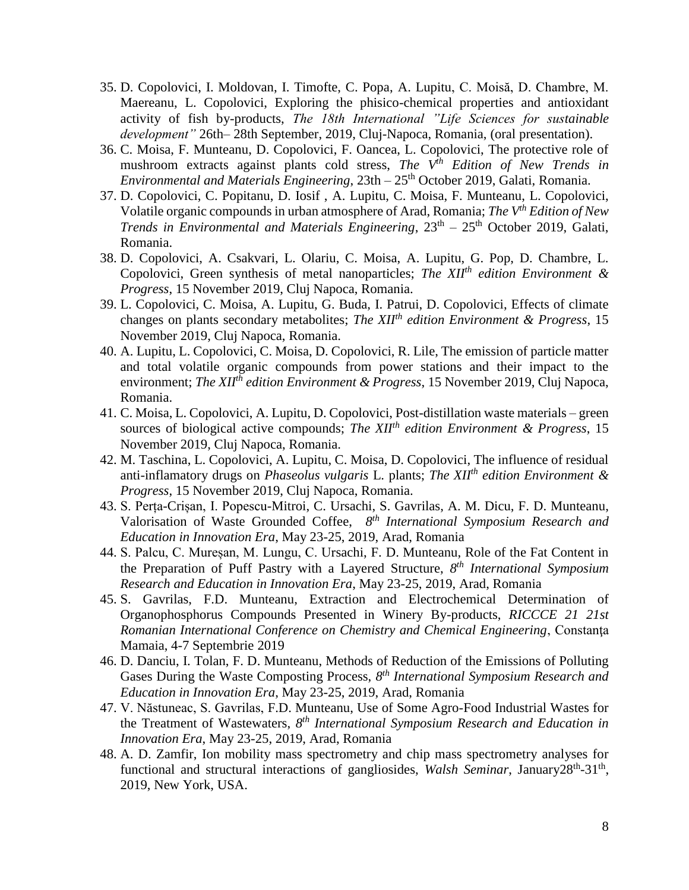- 35. D. Copolovici, I. Moldovan, I. Timofte, C. Popa, A. Lupitu, C. Moisă, D. Chambre, M. Maereanu, L. Copolovici, Exploring the phisico-chemical properties and antioxidant activity of fish by-products, *The 18th International "Life Sciences for sustainable development"* 26th– 28th September, 2019, Cluj-Napoca, Romania, (oral presentation).
- 36. C. Moisa, F. Munteanu, D. Copolovici, F. Oancea, L. Copolovici, The protective role of mushroom extracts against plants cold stress, *The Vth Edition of New Trends in Environmental and Materials Engineering*, 23th – 25th October 2019, Galati, Romania.
- 37. D. Copolovici, C. Popitanu, D. Iosif , A. Lupitu, C. Moisa, F. Munteanu, L. Copolovici, Volatile organic compounds in urban atmosphere of Arad, Romania; *The Vth Edition of New*  Trends in Environmental and Materials Engineering,  $23<sup>th</sup> - 25<sup>th</sup>$  October 2019, Galati, Romania.
- 38. D. Copolovici, A. Csakvari, L. Olariu, C. Moisa, A. Lupitu, G. Pop, D. Chambre, L. Copolovici, Green synthesis of metal nanoparticles; *The XIIth edition Environment & Progress*, 15 November 2019, Cluj Napoca, Romania.
- 39. L. Copolovici, C. Moisa, A. Lupitu, G. Buda, I. Patrui, D. Copolovici, Effects of climate changes on plants secondary metabolites; *The XIIth edition Environment & Progress*, 15 November 2019, Cluj Napoca, Romania.
- 40. A. Lupitu, L. Copolovici, C. Moisa, D. Copolovici, R. Lile, The emission of particle matter and total volatile organic compounds from power stations and their impact to the environment; *The XIIth edition Environment & Progress*, 15 November 2019, Cluj Napoca, Romania.
- 41. C. Moisa, L. Copolovici, A. Lupitu, D. Copolovici, Post-distillation waste materials green sources of biological active compounds; *The XIIth edition Environment & Progress*, 15 November 2019, Cluj Napoca, Romania.
- 42. M. Taschina, L. Copolovici, A. Lupitu, C. Moisa, D. Copolovici, The influence of residual anti-inflamatory drugs on *Phaseolus vulgaris* L. plants; *The XIIth edition Environment & Progress*, 15 November 2019, Cluj Napoca, Romania.
- 43. S. Perța-Crișan, I. Popescu-Mitroi, C. Ursachi, S. Gavrilas, A. M. Dicu, F. D. Munteanu, Valorisation of Waste Grounded Coffee, *8 th International Symposium Research and Education in Innovation Era*, May 23-25, 2019, Arad, Romania
- 44. S. Palcu, C. Mureșan, M. Lungu, C. Ursachi, F. D. Munteanu, Role of the Fat Content in the Preparation of Puff Pastry with a Layered Structure, *8 th International Symposium Research and Education in Innovation Era*, May 23-25, 2019, Arad, Romania
- 45. S. Gavrilas, F.D. Munteanu, Extraction and Electrochemical Determination of Organophosphorus Compounds Presented in Winery By-products, *RICCCE 21 21st Romanian International Conference on Chemistry and Chemical Engineering*, Constanţa Mamaia, 4-7 Septembrie 2019
- 46. D. Danciu, I. Tolan, F. D. Munteanu, Methods of Reduction of the Emissions of Polluting Gases During the Waste Composting Process, 8<sup>th</sup> International Symposium Research and *Education in Innovation Era*, May 23-25, 2019, Arad, Romania
- 47. V. Năstuneac, S. Gavrilas, F.D. Munteanu, Use of Some Agro-Food Industrial Wastes for the Treatment of Wastewaters, *8 th International Symposium Research and Education in Innovation Era*, May 23-25, 2019, Arad, Romania
- 48. A. D. Zamfir, Ion mobility mass spectrometry and chip mass spectrometry analyses for functional and structural interactions of gangliosides, Walsh Seminar, January28<sup>th</sup>-31<sup>th</sup>, 2019, New York, USA.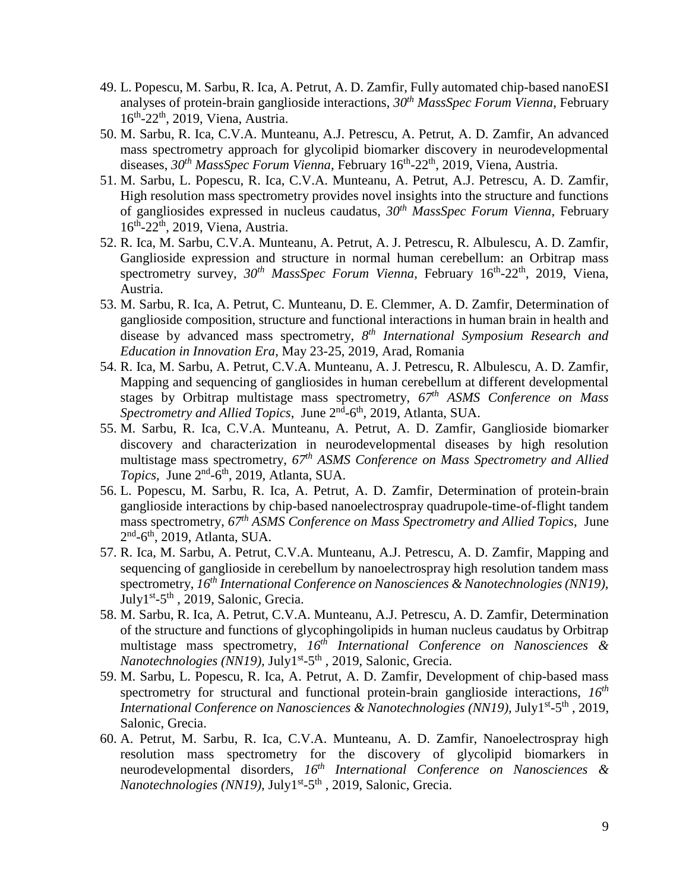- 49. L. Popescu, M. Sarbu, R. Ica, A. Petrut, A. D. Zamfir, Fully automated chip-based nanoESI analyses of protein-brain ganglioside interactions, *30th MassSpec Forum Vienna*, February 16<sup>th</sup>-22<sup>th</sup>, 2019, Viena, Austria.
- 50. M. Sarbu, R. Ica, C.V.A. Munteanu, A.J. Petrescu, A. Petrut, A. D. Zamfir, An advanced mass spectrometry approach for glycolipid biomarker discovery in neurodevelopmental diseases, 30<sup>th</sup> MassSpec Forum Vienna, February 16<sup>th</sup>-22<sup>th</sup>, 2019, Viena, Austria.
- 51. M. Sarbu, L. Popescu, R. Ica, C.V.A. Munteanu, A. Petrut, A.J. Petrescu, A. D. Zamfir, High resolution mass spectrometry provides novel insights into the structure and functions of gangliosides expressed in nucleus caudatus, *30th MassSpec Forum Vienna*, February 16<sup>th</sup>-22<sup>th</sup>, 2019, Viena, Austria.
- 52. R. Ica, M. Sarbu, C.V.A. Munteanu, A. Petrut, A. J. Petrescu, R. Albulescu, A. D. Zamfir, Ganglioside expression and structure in normal human cerebellum: an Orbitrap mass spectrometry survey,  $30^{th}$  *MassSpec Forum Vienna*, February 16<sup>th</sup>-22<sup>th</sup>, 2019, Viena, Austria.
- 53. M. Sarbu, R. Ica, A. Petrut, C. Munteanu, D. E. Clemmer, A. D. Zamfir, Determination of ganglioside composition, structure and functional interactions in human brain in health and disease by advanced mass spectrometry, *8 th International Symposium Research and Education in Innovation Era*, May 23-25, 2019, Arad, Romania
- 54. R. Ica, M. Sarbu, A. Petrut, C.V.A. Munteanu, A. J. Petrescu, R. Albulescu, A. D. Zamfir, Mapping and sequencing of gangliosides in human cerebellum at different developmental stages by Orbitrap multistage mass spectrometry, *67th ASMS Conference on Mass*  Spectrometry and Allied Topics, June 2<sup>nd</sup>-6<sup>th</sup>, 2019, Atlanta, SUA.
- 55. M. Sarbu, R. Ica, C.V.A. Munteanu, A. Petrut, A. D. Zamfir, Ganglioside biomarker discovery and characterization in neurodevelopmental diseases by high resolution multistage mass spectrometry, *67th ASMS Conference on Mass Spectrometry and Allied*  Topics, June 2<sup>nd</sup>-6<sup>th</sup>, 2019, Atlanta, SUA.
- 56. L. Popescu, M. Sarbu, R. Ica, A. Petrut, A. D. Zamfir, Determination of protein-brain ganglioside interactions by chip-based nanoelectrospray quadrupole-time-of-flight tandem mass spectrometry, *67th ASMS Conference on Mass Spectrometry and Allied Topics*, June  $2<sup>nd</sup>$ -6<sup>th</sup>, 2019, Atlanta, SUA.
- 57. R. Ica, M. Sarbu, A. Petrut, C.V.A. Munteanu, A.J. Petrescu, A. D. Zamfir, Mapping and sequencing of ganglioside in cerebellum by nanoelectrospray high resolution tandem mass spectrometry, *16th International Conference on Nanosciences & Nanotechnologies (NN19),* July1<sup>st</sup>-5<sup>th</sup>, 2019, Salonic, Grecia.
- 58. M. Sarbu, R. Ica, A. Petrut, C.V.A. Munteanu, A.J. Petrescu, A. D. Zamfir, Determination of the structure and functions of glycophingolipids in human nucleus caudatus by Orbitrap multistage mass spectrometry, *16th International Conference on Nanosciences &*  Nanotechnologies (NN19), July1<sup>st</sup>-5<sup>th</sup>, 2019, Salonic, Grecia.
- 59. M. Sarbu, L. Popescu, R. Ica, A. Petrut, A. D. Zamfir, Development of chip-based mass spectrometry for structural and functional protein-brain ganglioside interactions, *16th* International Conference on Nanosciences & Nanotechnologies (NN19), July1<sup>st</sup>-5<sup>th</sup>, 2019, Salonic, Grecia.
- 60. A. Petrut, M. Sarbu, R. Ica, C.V.A. Munteanu, A. D. Zamfir, Nanoelectrospray high resolution mass spectrometry for the discovery of glycolipid biomarkers in neurodevelopmental disorders, *16th International Conference on Nanosciences &*  Nanotechnologies (NN19), July1<sup>st</sup>-5<sup>th</sup>, 2019, Salonic, Grecia.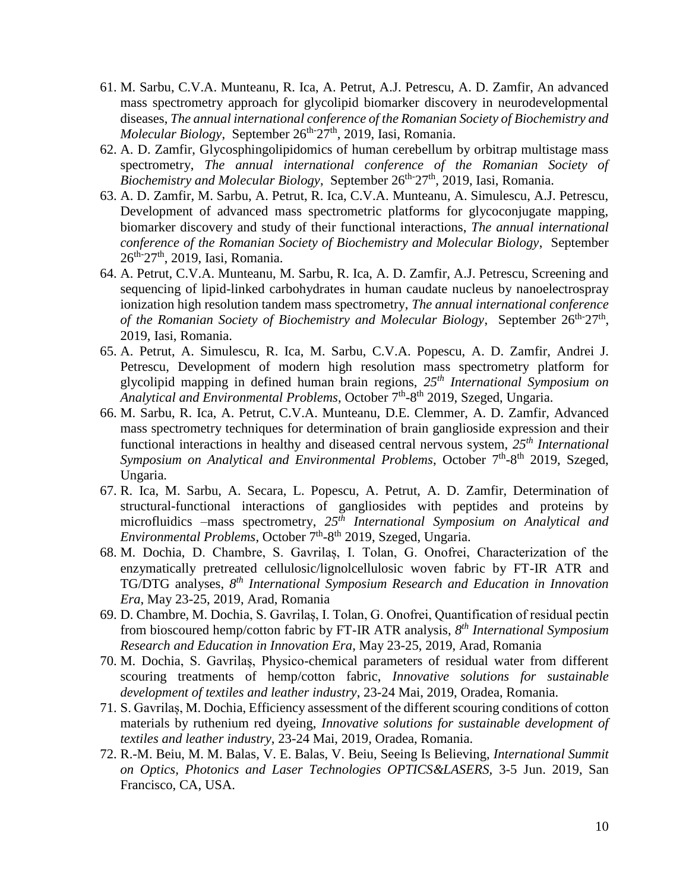- 61. M. Sarbu, C.V.A. Munteanu, R. Ica, A. Petrut, A.J. Petrescu, A. D. Zamfir, An advanced mass spectrometry approach for glycolipid biomarker discovery in neurodevelopmental diseases, *The annual international conference of the Romanian Society of Biochemistry and*  Molecular Biology, September 26<sup>th-</sup>27<sup>th</sup>, 2019, Iasi, Romania.
- 62. A. D. Zamfir, Glycosphingolipidomics of human cerebellum by orbitrap multistage mass spectrometry, *The annual international conference of the Romanian Society of*  Biochemistry and Molecular Biology, September 26<sup>th-</sup>27<sup>th</sup>, 2019, Iasi, Romania.
- 63. A. D. Zamfir, M. Sarbu, A. Petrut, R. Ica, C.V.A. Munteanu, A. Simulescu, A.J. Petrescu, Development of advanced mass spectrometric platforms for glycoconjugate mapping, biomarker discovery and study of their functional interactions, *The annual international conference of the Romanian Society of Biochemistry and Molecular Biology*, September 26<sup>th-</sup>27<sup>th</sup>, 2019, Iasi, Romania.
- 64. A. Petrut, C.V.A. Munteanu, M. Sarbu, R. Ica, A. D. Zamfir, A.J. Petrescu, Screening and sequencing of lipid-linked carbohydrates in human caudate nucleus by nanoelectrospray ionization high resolution tandem mass spectrometry, *The annual international conference*  of the Romanian Society of Biochemistry and Molecular Biology, September 26<sup>th-</sup>27<sup>th</sup>, 2019, Iasi, Romania.
- 65. A. Petrut, A. Simulescu, R. Ica, M. Sarbu, C.V.A. Popescu, A. D. Zamfir, Andrei J. Petrescu, Development of modern high resolution mass spectrometry platform for glycolipid mapping in defined human brain regions, *25th International Symposium on*  Analytical and Environmental Problems, October 7<sup>th</sup>-8<sup>th</sup> 2019, Szeged, Ungaria.
- 66. M. Sarbu, R. Ica, A. Petrut, C.V.A. Munteanu, D.E. Clemmer, A. D. Zamfir, Advanced mass spectrometry techniques for determination of brain ganglioside expression and their functional interactions in healthy and diseased central nervous system, *25th International*  Symposium on Analytical and Environmental Problems, October 7<sup>th</sup>-8<sup>th</sup> 2019, Szeged, Ungaria.
- 67. R. Ica, M. Sarbu, A. Secara, L. Popescu, A. Petrut, A. D. Zamfir, Determination of structural-functional interactions of gangliosides with peptides and proteins by microfluidics –mass spectrometry, *25th International Symposium on Analytical and*  Environmental Problems, October 7<sup>th</sup>-8<sup>th</sup> 2019, Szeged, Ungaria.
- 68. M. Dochia, D. Chambre, S. Gavrilaș, I. Tolan, G. Onofrei, Characterization of the enzymatically pretreated cellulosic/lignolcellulosic woven fabric by FT-IR ATR and TG/DTG analyses, *8 th International Symposium Research and Education in Innovation Era*, May 23-25, 2019, Arad, Romania
- 69. D. Chambre, M. Dochia, S. Gavrilaș, I. Tolan, G. Onofrei, Quantification of residual pectin from bioscoured hemp/cotton fabric by FT-IR ATR analysis, *8 th International Symposium Research and Education in Innovation Era*, May 23-25, 2019, Arad, Romania
- 70. M. Dochia, S. Gavrilaș, Physico-chemical parameters of residual water from different scouring treatments of hemp/cotton fabric, *Innovative solutions for sustainable development of textiles and leather industry*, 23-24 Mai, 2019, Oradea, Romania.
- 71. S. Gavrilaș, M. Dochia, Efficiency assessment of the different scouring conditions of cotton materials by ruthenium red dyeing, *Innovative solutions for sustainable development of textiles and leather industry*, 23-24 Mai, 2019, Oradea, Romania.
- 72. R.-M. Beiu, M. M. Balas, V. E. Balas, V. Beiu, Seeing Is Believing, *International Summit on Optics, Photonics and Laser Technologies OPTICS&LASERS,* 3-5 Jun. 2019, San Francisco, CA, USA.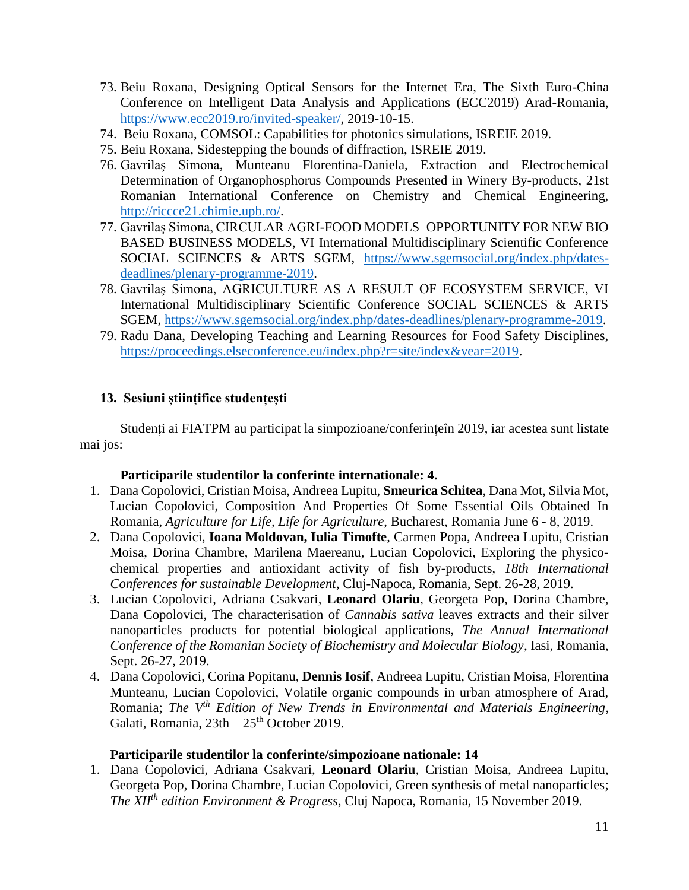- 73. Beiu Roxana, Designing Optical Sensors for the Internet Era, The Sixth Euro-China Conference on Intelligent Data Analysis and Applications (ECC2019) Arad-Romania, [https://www.ecc2019.ro/invited-speaker/,](https://www.ecc2019.ro/invited-speaker/) 2019-10-15.
- 74. Beiu Roxana, COMSOL: Capabilities for photonics simulations, ISREIE 2019.
- 75. Beiu Roxana, Sidestepping the bounds of diffraction, ISREIE 2019.
- 76. Gavrilaş Simona, Munteanu Florentina-Daniela, Extraction and Electrochemical Determination of Organophosphorus Compounds Presented in Winery By-products, 21st Romanian International Conference on Chemistry and Chemical Engineering, [http://riccce21.chimie.upb.ro/.](http://riccce21.chimie.upb.ro/)
- 77. Gavrilaş Simona, CIRCULAR AGRI-FOOD MODELS–OPPORTUNITY FOR NEW BIO BASED BUSINESS MODELS, VI International Multidisciplinary Scientific Conference SOCIAL SCIENCES & ARTS SGEM, [https://www.sgemsocial.org/index.php/dates](https://www.sgemsocial.org/index.php/dates-deadlines/plenary-programme-2019)[deadlines/plenary-programme-2019.](https://www.sgemsocial.org/index.php/dates-deadlines/plenary-programme-2019)
- 78. Gavrilaş Simona, AGRICULTURE AS A RESULT OF ECOSYSTEM SERVICE, VI International Multidisciplinary Scientific Conference SOCIAL SCIENCES & ARTS SGEM, [https://www.sgemsocial.org/index.php/dates-deadlines/plenary-programme-2019.](https://www.sgemsocial.org/index.php/dates-deadlines/plenary-programme-2019)
- 79. Radu Dana, Developing Teaching and Learning Resources for Food Safety Disciplines, [https://proceedings.elseconference.eu/index.php?r=site/index&year=2019.](https://proceedings.elseconference.eu/index.php?r=site/index&year=2019)

## **13. Sesiuni științifice studențești**

Studenți ai FIATPM au participat la simpozioane/conferințeîn 2019, iar acestea sunt listate mai jos:

#### **Participarile studentilor la conferinte internationale: 4.**

- 1. Dana Copolovici, Cristian Moisa, Andreea Lupitu, **Smeurica Schitea**, Dana Mot, Silvia Mot, Lucian Copolovici, Composition And Properties Of Some Essential Oils Obtained In Romania, *Agriculture for Life, Life for Agriculture*, Bucharest, Romania June 6 - 8, 2019.
- 2. Dana Copolovici, **Ioana Moldovan, Iulia Timofte**, Carmen Popa, Andreea Lupitu, Cristian Moisa, Dorina Chambre, Marilena Maereanu, Lucian Copolovici, Exploring the physicochemical properties and antioxidant activity of fish by-products, *18th International Conferences for sustainable Development*, Cluj-Napoca, Romania, Sept. 26-28, 2019.
- 3. Lucian Copolovici, Adriana Csakvari, **Leonard Olariu**, Georgeta Pop, Dorina Chambre, Dana Copolovici, The characterisation of *Cannabis sativa* leaves extracts and their silver nanoparticles products for potential biological applications, *The Annual International Conference of the Romanian Society of Biochemistry and Molecular Biology*, Iasi, Romania, Sept. 26-27, 2019.
- 4. Dana Copolovici, Corina Popitanu, **Dennis Iosif**, Andreea Lupitu, Cristian Moisa, Florentina Munteanu, Lucian Copolovici, Volatile organic compounds in urban atmosphere of Arad, Romania; *The Vth Edition of New Trends in Environmental and Materials Engineering*, Galati, Romania,  $23th - 25<sup>th</sup>$  October 2019.

#### **Participarile studentilor la conferinte/simpozioane nationale: 14**

1. Dana Copolovici, Adriana Csakvari, **Leonard Olariu**, Cristian Moisa, Andreea Lupitu, Georgeta Pop, Dorina Chambre, Lucian Copolovici, Green synthesis of metal nanoparticles; *The XIIth edition Environment & Progress*, Cluj Napoca, Romania, 15 November 2019.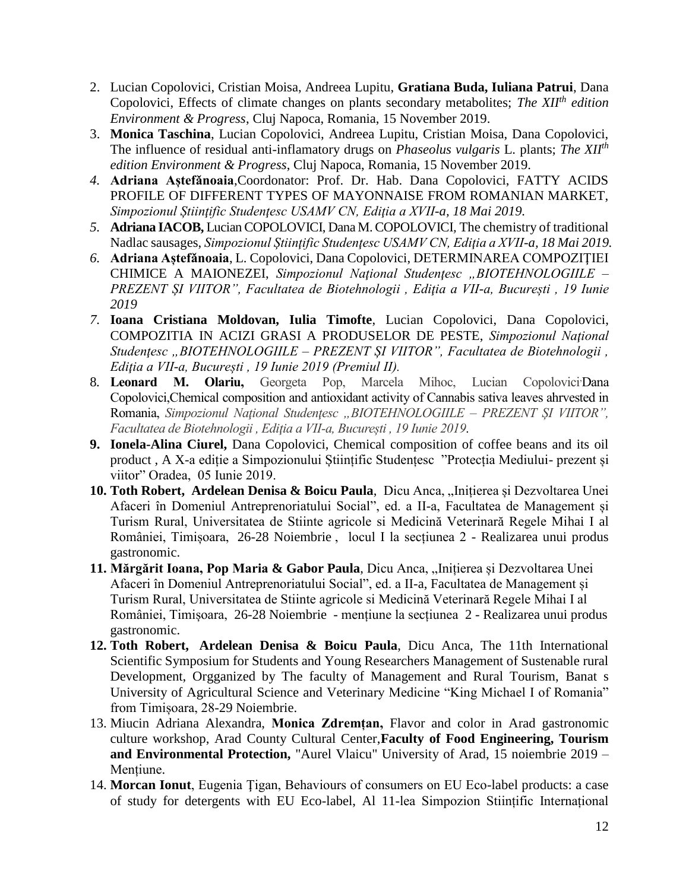- 2. Lucian Copolovici, Cristian Moisa, Andreea Lupitu, **Gratiana Buda, Iuliana Patrui**, Dana Copolovici, Effects of climate changes on plants secondary metabolites; *The XIIth edition Environment & Progress*, Cluj Napoca, Romania, 15 November 2019.
- 3. **Monica Taschina**, Lucian Copolovici, Andreea Lupitu, Cristian Moisa, Dana Copolovici, The influence of residual anti-inflamatory drugs on *Phaseolus vulgaris* L. plants; *The XIIth edition Environment & Progress*, Cluj Napoca, Romania, 15 November 2019.
- *4.* **Adriana Aștefǎnoaia**,Coordonator: Prof. Dr. Hab. Dana Copolovici, FATTY ACIDS PROFILE OF DIFFERENT TYPES OF MAYONNAISE FROM ROMANIAN MARKET, *Simpozionul Știinţific Studenţesc USAMV CN, Ediţia a XVII-a, 18 Mai 2019.*
- *5.* **Adriana IACOB,** Lucian COPOLOVICI, Dana M. COPOLOVICI*,* The chemistry of traditional Nadlac sausages, *Simpozionul Știinţific Studenţesc USAMV CN, Ediţia a XVII-a, 18 Mai 2019.*
- *6.* **Adriana Aștefǎnoaia**, L. Copolovici, Dana Copolovici, DETERMINAREA COMPOZIŢIEI CHIMICE A MAIONEZEI, *Simpozionul Naţional Studenţesc "BIOTEHNOLOGIILE – PREZENT ȘI VIITOR", Facultatea de Biotehnologii , Ediţia a VII-a, București , 19 Iunie 2019*
- *7.* **Ioana Cristiana Moldovan, Iulia Timofte**, Lucian Copolovici, Dana Copolovici, COMPOZITIA IN ACIZI GRASI A PRODUSELOR DE PESTE, *Simpozionul Naţional Studenţesc "BIOTEHNOLOGIILE – PREZENT ȘI VIITOR", Facultatea de Biotehnologii , Ediţia a VII-a, București , 19 Iunie 2019 (Premiul II).*
- 8. **Leonard M. Olariu,** Georgeta Pop, Marcela Mihoc, Lucian Copolovici,Dana Copolovici,Chemical composition and antioxidant activity of Cannabis sativa leaves ahrvested in Romania, *Simpozionul Naţional Studenţesc "BIOTEHNOLOGIILE – PREZENT ȘI VIITOR", Facultatea de Biotehnologii , Ediţia a VII-a, București , 19 Iunie 2019*.
- **9. Ionela-Alina Ciurel,** Dana Copolovici, Chemical composition of coffee beans and its oil product , A X-a ediție a Simpozionului Științific Studențesc "Protecția Mediului- prezent și viitor" Oradea, 05 Iunie 2019.
- 10. Toth Robert, Ardelean Denisa & Boicu Paula, Dicu Anca, "Inițierea și Dezvoltarea Unei Afaceri în Domeniul Antreprenoriatului Social", ed. a II-a, Facultatea de Management și Turism Rural, Universitatea de Stiinte agricole si Medicină Veterinară Regele Mihai I al României, Timișoara, 26-28 Noiembrie , locul I la secțiunea 2 - Realizarea unui produs gastronomic.
- 11. Mărgărit Ioana, Pop Maria & Gabor Paula, Dicu Anca, "Inițierea și Dezvoltarea Unei Afaceri în Domeniul Antreprenoriatului Social", ed. a II-a, Facultatea de Management și Turism Rural, Universitatea de Stiinte agricole si Medicină Veterinară Regele Mihai I al României, Timișoara, 26-28 Noiembrie - mențiune la secțiunea 2 - Realizarea unui produs gastronomic.
- **12. Toth Robert, Ardelean Denisa & Boicu Paula**, Dicu Anca, The 11th International Scientific Symposium for Students and Young Researchers Management of Sustenable rural Development, Orgganized by The faculty of Management and Rural Tourism, Banat s University of Agricultural Science and Veterinary Medicine "King Michael I of Romania" from Timișoara, 28-29 Noiembrie.
- 13. Miucin Adriana Alexandra, **Monica Zdremțan,** Flavor and color in Arad gastronomic culture workshop, Arad County Cultural Center,**Faculty of Food Engineering, Tourism and Environmental Protection,** "Aurel Vlaicu" University of Arad, 15 noiembrie 2019 – Mențiune.
- 14. **Morcan Ionut**, Eugenia Ţigan, Behaviours of consumers on EU Eco-label products: a case of study for detergents with EU Eco-label, Al 11-lea Simpozion Stiințific Internațional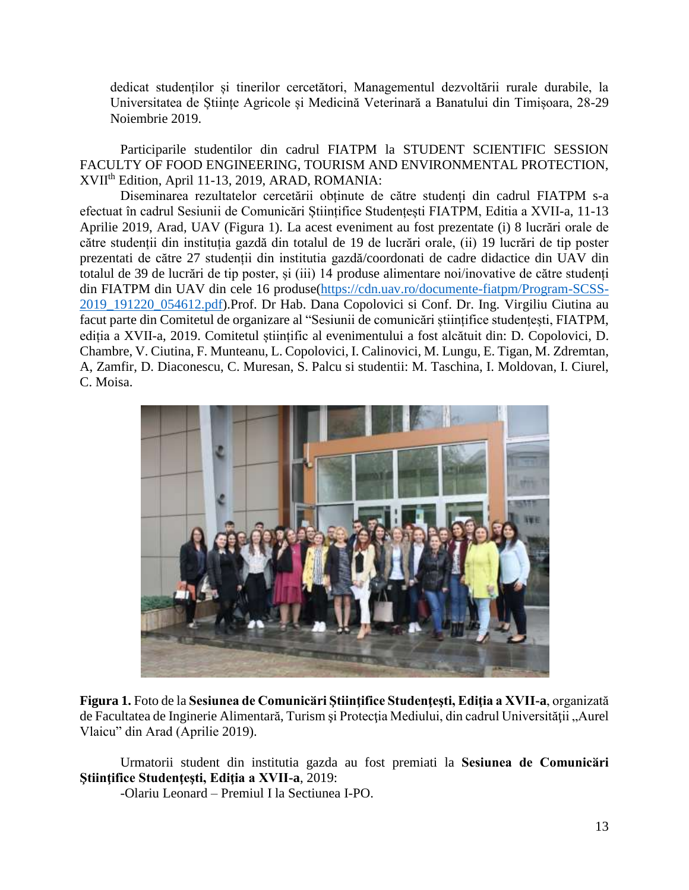dedicat studenților și tinerilor cercetători, Managementul dezvoltării rurale durabile, la Universitatea de Științe Agricole și Medicină Veterinară a Banatului din Timișoara, 28-29 Noiembrie 2019.

Participarile studentilor din cadrul FIATPM la STUDENT SCIENTIFIC SESSION FACULTY OF FOOD ENGINEERING, TOURISM AND ENVIRONMENTAL PROTECTION, XVII th Edition, April 11-13, 2019, ARAD, ROMANIA:

Diseminarea rezultatelor cercetării obținute de către studenți din cadrul FIATPM s-a efectuat în cadrul Sesiunii de Comunicări Științifice Studențești FIATPM, Editia a XVII-a, 11-13 Aprilie 2019, Arad, UAV (Figura 1). La acest eveniment au fost prezentate (i) 8 lucrări orale de către studenții din instituția gazdă din totalul de 19 de lucrări orale, (ii) 19 lucrări de tip poster prezentati de către 27 studenții din institutia gazdă/coordonati de cadre didactice din UAV din totalul de 39 de lucrări de tip poster, și (iii) 14 produse alimentare noi/inovative de către studenți din FIATPM din UAV din cele 16 produse[\(https://cdn.uav.ro/documente-fiatpm/Program-SCSS-](https://cdn.uav.ro/documente-fiatpm/Program-SCSS-2019_191220_054612.pdf)[2019\\_191220\\_054612.pdf\)](https://cdn.uav.ro/documente-fiatpm/Program-SCSS-2019_191220_054612.pdf).Prof. Dr Hab. Dana Copolovici si Conf. Dr. Ing. Virgiliu Ciutina au facut parte din Comitetul de organizare al "Sesiunii de comunicări științifice studențești, FIATPM, ediția a XVII-a, 2019. Comitetul științific al evenimentului a fost alcătuit din: D. Copolovici, D. Chambre, V. Ciutina, F. Munteanu, L. Copolovici, I. Calinovici, M. Lungu, E. Tigan, M. Zdremtan, A, Zamfir, D. Diaconescu, C. Muresan, S. Palcu si studentii: M. Taschina, I. Moldovan, I. Ciurel, C. Moisa.



**Figura 1.** Foto de la **Sesiunea de Comunicӑri Ştiinţifice Studenţeşti, Ediţia a XVII-a**, organizată de Facultatea de Inginerie Alimentară, Turism și Protecția Mediului, din cadrul Universității "Aurel Vlaicu" din Arad (Aprilie 2019).

Urmatorii student din institutia gazda au fost premiati la **Sesiunea de Comunicӑri Ştiinţifice Studenţeşti, Ediţia a XVII-a**, 2019:

-Olariu Leonard – Premiul I la Sectiunea I-PO.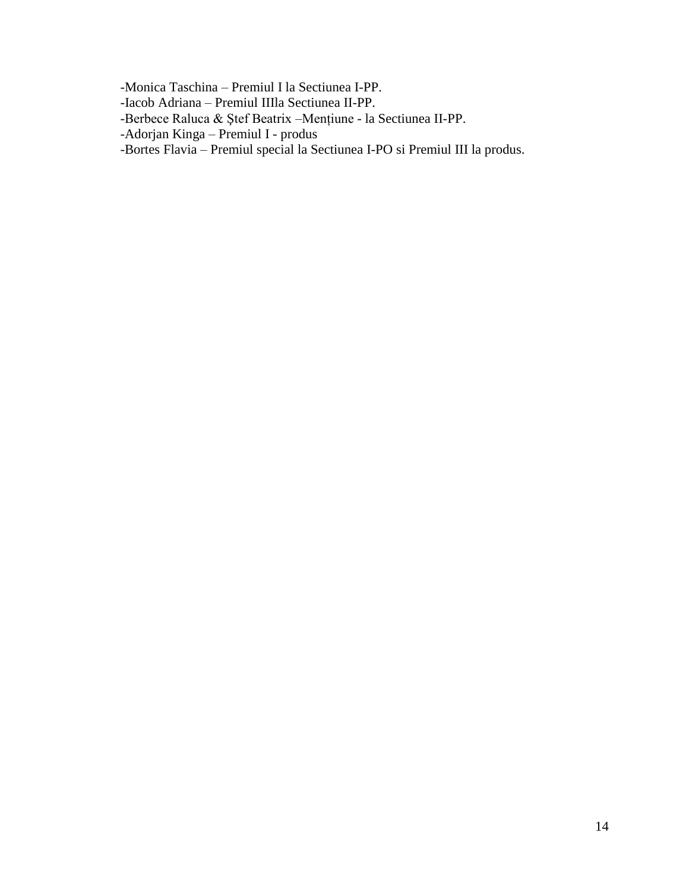-Monica Taschina – Premiul I la Sectiunea I-PP.

- -Iacob Adriana Premiul IIIla Sectiunea II-PP.
- -Berbece Raluca & Ştef Beatrix –Mențiune la Sectiunea II-PP.
- -Adorjan Kinga Premiul I produs
- -Bortes Flavia Premiul special la Sectiunea I-PO si Premiul III la produs.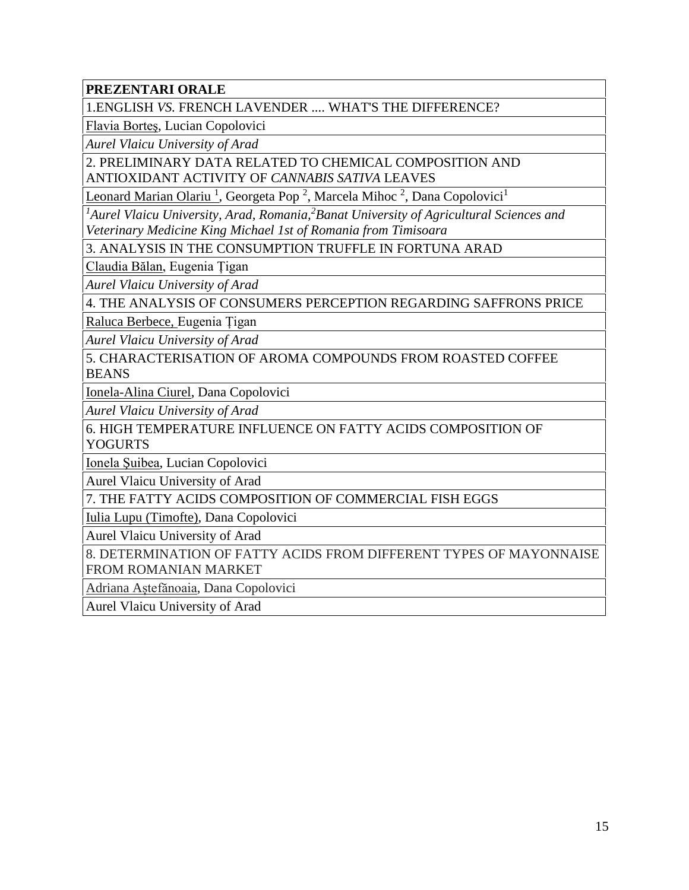**PREZENTARI ORALE**

1.ENGLISH *VS.* FRENCH LAVENDER .... WHAT'S THE DIFFERENCE?

Flavia Borteş, Lucian Copolovici

*Aurel Vlaicu University of Arad*

2. PRELIMINARY DATA RELATED TO CHEMICAL COMPOSITION AND ANTIOXIDANT ACTIVITY OF *CANNABIS SATIVA* LEAVES

Leonard Marian Olariu<sup>1</sup>, Georgeta Pop<sup>2</sup>, Marcela Mihoc<sup>2</sup>, Dana Copolovici<sup>1</sup>

*<sup>1</sup>Aurel Vlaicu University, Arad, Romania,<sup>2</sup>Banat University of Agricultural Sciences and Veterinary Medicine King Michael 1st of Romania from Timisoara*

3. ANALYSIS IN THE CONSUMPTION TRUFFLE IN FORTUNA ARAD

Claudia Bălan, Eugenia Țigan

*Aurel Vlaicu University of Arad*

4. THE ANALYSIS OF CONSUMERS PERCEPTION REGARDING SAFFRONS PRICE

Raluca Berbece, Eugenia Țigan

*Aurel Vlaicu University of Arad*

5. CHARACTERISATION OF AROMA COMPOUNDS FROM ROASTED COFFEE **BEANS** 

Ionela-Alina Ciurel, Dana Copolovici

*Aurel Vlaicu University of Arad*

6. HIGH TEMPERATURE INFLUENCE ON FATTY ACIDS COMPOSITION OF YOGURTS

Ionela Şuibea, Lucian Copolovici

Aurel Vlaicu University of Arad

7. THE FATTY ACIDS COMPOSITION OF COMMERCIAL FISH EGGS

Iulia Lupu (Timofte), Dana Copolovici

Aurel Vlaicu University of Arad

8. DETERMINATION OF FATTY ACIDS FROM DIFFERENT TYPES OF MAYONNAISE FROM ROMANIAN MARKET

Adriana Aștefănoaia, Dana Copolovici

Aurel Vlaicu University of Arad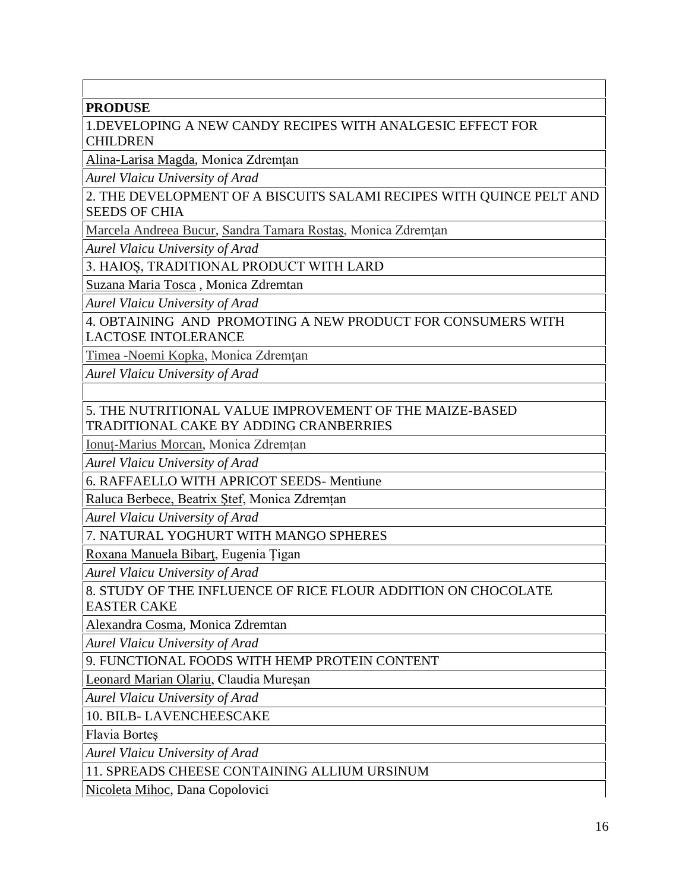## **PRODUSE**

1.DEVELOPING A NEW CANDY RECIPES WITH ANALGESIC EFFECT FOR CHILDREN

Alina-Larisa Magda, Monica Zdremțan

*Aurel Vlaicu University of Arad*

2. THE DEVELOPMENT OF A BISCUITS SALAMI RECIPES WITH QUINCE PELT AND SEEDS OF CHIA

Marcela Andreea Bucur, Sandra Tamara Rostas, Monica Zdremtan

*Aurel Vlaicu University of Arad*

3. HAIOȘ, TRADITIONAL PRODUCT WITH LARD

Suzana Maria Tosca , Monica Zdremtan

*Aurel Vlaicu University of Arad*

4. OBTAINING AND PROMOTING A NEW PRODUCT FOR CONSUMERS WITH LACTOSE INTOLERANCE

Timea -Noemi Kopka, Monica Zdremţan

*Aurel Vlaicu University of Arad*

5. THE NUTRITIONAL VALUE IMPROVEMENT OF THE MAIZE-BASED TRADITIONAL CAKE BY ADDING CRANBERRIES

Ionuț-Marius Morcan, Monica Zdremțan

*Aurel Vlaicu University of Arad*

6. RAFFAELLO WITH APRICOT SEEDS- Mentiune

Raluca Berbece, Beatrix Ştef, Monica Zdremțan

*Aurel Vlaicu University of Arad*

7. NATURAL YOGHURT WITH MANGO SPHERES

Roxana Manuela Bibarţ, Eugenia Ţigan

*Aurel Vlaicu University of Arad*

8. STUDY OF THE INFLUENCE OF RICE FLOUR ADDITION ON CHOCOLATE EASTER CAKE

Alexandra Cosma, Monica Zdremtan

*Aurel Vlaicu University of Arad*

9. FUNCTIONAL FOODS WITH HEMP PROTEIN CONTENT

Leonard Marian Olariu, Claudia Mureșan

*Aurel Vlaicu University of Arad*

10. BILB- LAVENCHEESCAKE

Flavia Borteş

*Aurel Vlaicu University of Arad*

11. SPREADS CHEESE CONTAINING ALLIUM URSINUM

Nicoleta Mihoc, Dana Copolovici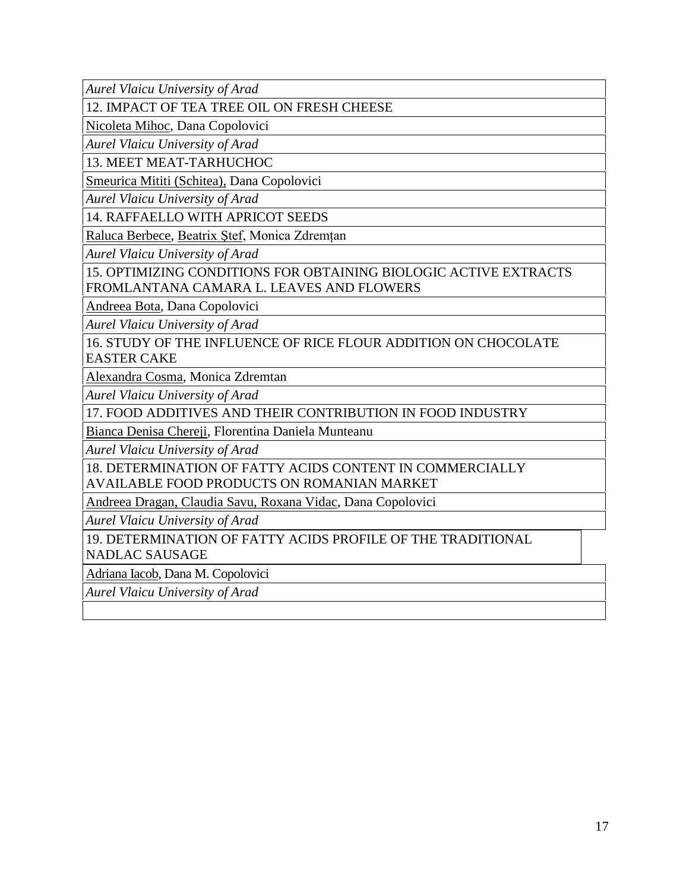*Aurel Vlaicu University of Arad*

12. IMPACT OF TEA TREE OIL ON FRESH CHEESE

Nicoleta Mihoc, Dana Copolovici

*Aurel Vlaicu University of Arad*

13. MEET MEAT-TARHUCHOC

Smeurica Mititi (Schitea), Dana Copolovici

*Aurel Vlaicu University of Arad*

14. RAFFAELLO WITH APRICOT SEEDS

Raluca Berbece, Beatrix Ştef, Monica Zdremțan

*Aurel Vlaicu University of Arad*

15. OPTIMIZING CONDITIONS FOR OBTAINING BIOLOGIC ACTIVE EXTRACTS FROMLANTANA CAMARA L. LEAVES AND FLOWERS

Andreea Bota, Dana Copolovici

*Aurel Vlaicu University of Arad*

16. STUDY OF THE INFLUENCE OF RICE FLOUR ADDITION ON CHOCOLATE EASTER CAKE

Alexandra Cosma, Monica Zdremtan

*Aurel Vlaicu University of Arad*

17. FOOD ADDITIVES AND THEIR CONTRIBUTION IN FOOD INDUSTRY

Bianca Denisa Chereji, Florentina Daniela Munteanu

*Aurel Vlaicu University of Arad*

18. DETERMINATION OF FATTY ACIDS CONTENT IN COMMERCIALLY AVAILABLE FOOD PRODUCTS ON ROMANIAN MARKET

Andreea Dragan, Claudia Savu, Roxana Vidac, Dana Copolovici

*Aurel Vlaicu University of Arad*

19. DETERMINATION OF FATTY ACIDS PROFILE OF THE TRADITIONAL

NADLAC SAUSAGE

Adriana Iacob, Dana M. Copolovici

*Aurel Vlaicu University of Arad*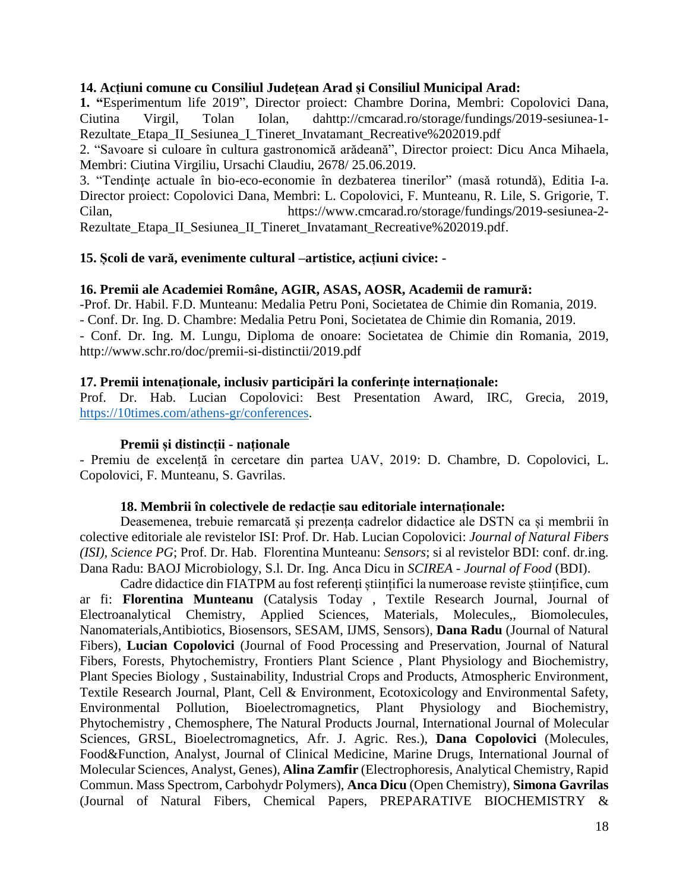#### **14. Acțiuni comune cu Consiliul Județean Arad și Consiliul Municipal Arad:**

**1. "**Esperimentum life 2019", Director proiect: Chambre Dorina, Membri: Copolovici Dana, Ciutina Virgil, Tolan Iolan, dahttp://cmcarad.ro/storage/fundings/2019-sesiunea-1- Rezultate\_Etapa\_II\_Sesiunea\_I\_Tineret\_Invatamant\_Recreative%202019.pdf

2. "Savoare si culoare în cultura gastronomică arădeană", Director proiect: Dicu Anca Mihaela, Membri: Ciutina Virgiliu, Ursachi Claudiu, 2678/ 25.06.2019.

3. "Tendinte actuale în bio-eco-economie în dezbaterea tinerilor" (masă rotundă), Editia I-a. Director proiect: Copolovici Dana, Membri: L. Copolovici, F. Munteanu, R. Lile, S. Grigorie, T. Cilan, https://www.cmcarad.ro/storage/fundings/2019-sesiunea-2- Rezultate\_Etapa\_II\_Sesiunea\_II\_Tineret\_Invatamant\_Recreative%202019.pdf.

#### **15. Școli de vară, evenimente cultural –artistice, acțiuni civice: -**

#### **16. Premii ale Academiei Române, AGIR, ASAS, AOSR, Academii de ramură:**

-Prof. Dr. Habil. F.D. Munteanu: Medalia Petru Poni, Societatea de Chimie din Romania, 2019. - Conf. Dr. Ing. D. Chambre: Medalia Petru Poni, Societatea de Chimie din Romania, 2019. - Conf. Dr. Ing. M. Lungu, Diploma de onoare: Societatea de Chimie din Romania, 2019, http://www.schr.ro/doc/premii-si-distinctii/2019.pdf

#### **17. Premii intenaționale, inclusiv participări la conferințe internaționale:**

Prof. Dr. Hab. Lucian Copolovici: Best Presentation Award, IRC, Grecia, 2019, [https://10times.com/athens-gr/conferences.](https://10times.com/athens-gr/conferences)

#### **Premii și distincții - naționale**

- Premiu de excelență în cercetare din partea UAV, 2019: D. Chambre, D. Copolovici, L. Copolovici, F. Munteanu, S. Gavrilas.

#### **18. Membrii în colectivele de redacție sau editoriale internaționale:**

Deasemenea, trebuie remarcată și prezența cadrelor didactice ale DSTN ca și membrii în colective editoriale ale revistelor ISI: Prof. Dr. Hab. Lucian Copolovici: *Journal of Natural Fibers (ISI), Science PG*; Prof. Dr. Hab. Florentina Munteanu: *Sensors*; si al revistelor BDI: conf. dr.ing. Dana Radu: BAOJ Microbiology, S.l. Dr. Ing. Anca Dicu in *SCIREA - Journal of Food* (BDI).

Cadre didactice din FIATPM au fost referenți științifici la numeroase reviste științifice, cum ar fi: **Florentina Munteanu** (Catalysis Today , Textile Research Journal, Journal of Electroanalytical Chemistry, Applied Sciences, Materials, Molecules,, Biomolecules, Nanomaterials,Antibiotics, Biosensors, SESAM, IJMS, Sensors), **Dana Radu** (Journal of Natural Fibers), **Lucian Copolovici** (Journal of Food Processing and Preservation, Journal of Natural Fibers, Forests, Phytochemistry, Frontiers Plant Science , Plant Physiology and Biochemistry, Plant Species Biology , Sustainability, Industrial Crops and Products, Atmospheric Environment, Textile Research Journal, Plant, Cell & Environment, Ecotoxicology and Environmental Safety, Environmental Pollution, Bioelectromagnetics, Plant Physiology and Biochemistry, Phytochemistry , Chemosphere, The Natural Products Journal, International Journal of Molecular Sciences, GRSL, Bioelectromagnetics, Afr. J. Agric. Res.), **Dana Copolovici** (Molecules, Food&Function, Analyst, Journal of Clinical Medicine, Marine Drugs, International Journal of Molecular Sciences, Analyst, Genes), **Alina Zamfir** (Electrophoresis, Analytical Chemistry, Rapid Commun. Mass Spectrom, Carbohydr Polymers), **Anca Dicu** (Open Chemistry), **Simona Gavrilas** (Journal of Natural Fibers, Chemical Papers, PREPARATIVE BIOCHEMISTRY &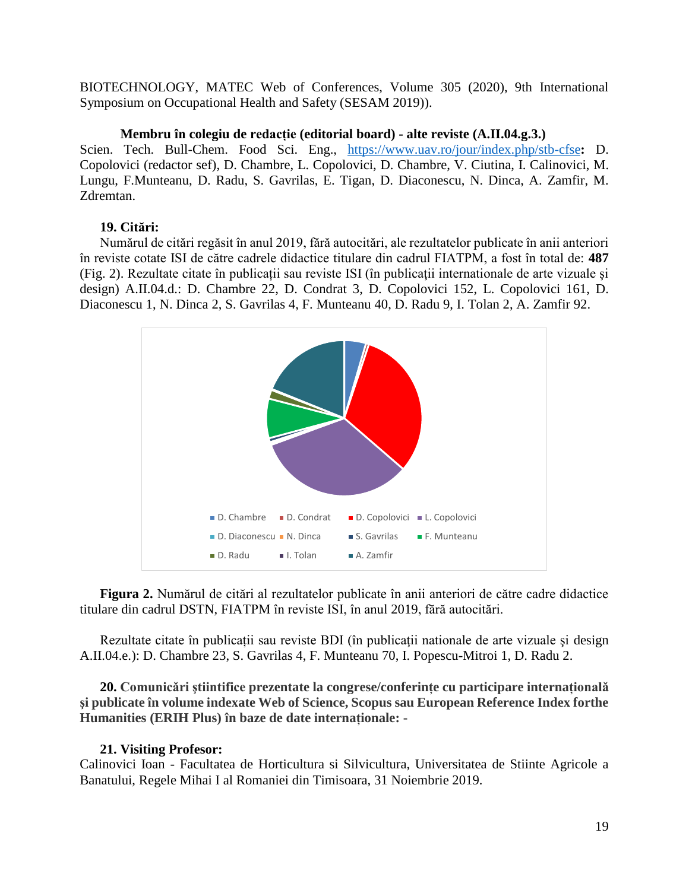BIOTECHNOLOGY, MATEC Web of Conferences, Volume 305 (2020), 9th International Symposium on Occupational Health and Safety (SESAM 2019)).

## **Membru în colegiu de redacție (editorial board) - alte reviste (A.II.04.g.3.)**

Scien. Tech. Bull-Chem. Food Sci. Eng., <https://www.uav.ro/jour/index.php/stb-cfse>**:** D. Copolovici (redactor sef), D. Chambre, L. Copolovici, D. Chambre, V. Ciutina, I. Calinovici, M. Lungu, F.Munteanu, D. Radu, S. Gavrilas, E. Tigan, D. Diaconescu, N. Dinca, A. Zamfir, M. Zdremtan.

## **19. Citări:**

Numărul de citări regăsit în anul 2019, fără autocitări, ale rezultatelor publicate în anii anteriori în reviste cotate ISI de către cadrele didactice titulare din cadrul FIATPM, a fost în total de: **487** (Fig. 2). Rezultate citate în publicații sau reviste ISI (în publicaţii internationale de arte vizuale şi design) A.II.04.d.: D. Chambre 22, D. Condrat 3, D. Copolovici 152, L. Copolovici 161, D. Diaconescu 1, N. Dinca 2, S. Gavrilas 4, F. Munteanu 40, D. Radu 9, I. Tolan 2, A. Zamfir 92.



**Figura 2.** Numărul de citări al rezultatelor publicate în anii anteriori de către cadre didactice titulare din cadrul DSTN, FIATPM în reviste ISI, în anul 2019, fără autocitări.

Rezultate citate în publicații sau reviste BDI (în publicații nationale de arte vizuale și design A.II.04.e.): D. Chambre 23, S. Gavrilas 4, F. Munteanu 70, I. Popescu-Mitroi 1, D. Radu 2.

**20. Comunicǎri ştiintifice prezentate la congrese/conferințe cu participare internaționalǎ şi publicate în volume indexate Web of Science, Scopus sau European Reference Index forthe Humanities (ERIH Plus) în baze de date internaționale: -**

## **21. Visiting Profesor:**

Calinovici Ioan - Facultatea de Horticultura si Silvicultura, Universitatea de Stiinte Agricole a Banatului, Regele Mihai I al Romaniei din Timisoara, 31 Noiembrie 2019.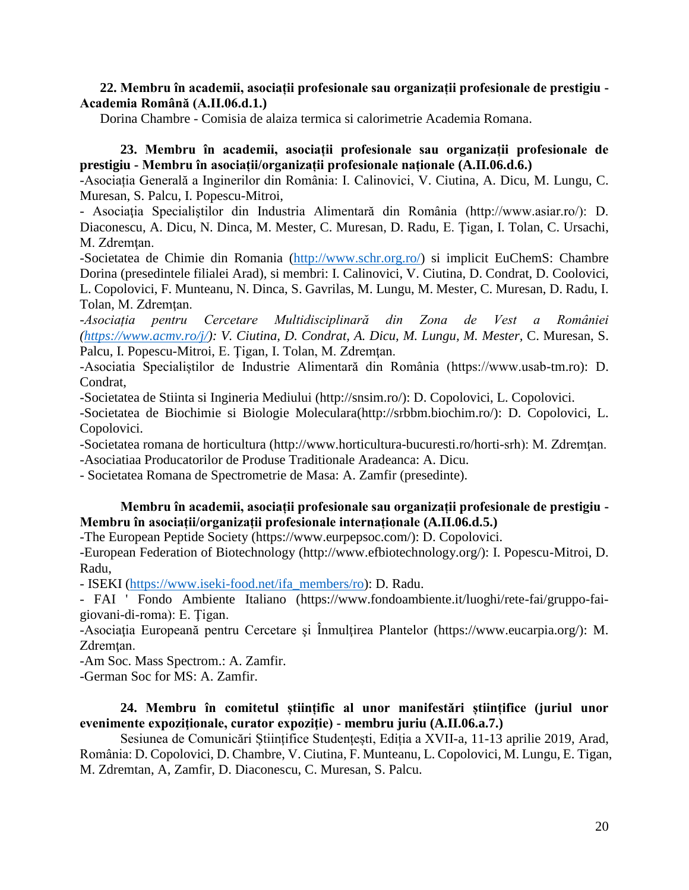#### **22. Membru în academii, asociații profesionale sau organizații profesionale de prestigiu - Academia Română (A.II.06.d.1.)**

Dorina Chambre - Comisia de alaiza termica si calorimetrie Academia Romana.

## **23. Membru în academii, asociații profesionale sau organizații profesionale de prestigiu - Membru în asociații/organizații profesionale naționale (A.II.06.d.6.)**

-Asociația Generală a Inginerilor din România: I. Calinovici, V. Ciutina, A. Dicu, M. Lungu, C. Muresan, S. Palcu, I. Popescu-Mitroi,

- Asociația Specialiștilor din Industria Alimentară din România (http://www.asiar.ro/): D. Diaconescu, A. Dicu, N. Dinca, M. Mester, C. Muresan, D. Radu, E. Ţigan, I. Tolan, C. Ursachi, M. Zdremtan.

-Societatea de Chimie din Romania [\(http://www.schr.org.ro/\)](http://www.schr.org.ro/) si implicit EuChemS: Chambre Dorina (presedintele filialei Arad), si membri: I. Calinovici, V. Ciutina, D. Condrat, D. Coolovici, L. Copolovici, F. Munteanu, N. Dinca, S. Gavrilas, M. Lungu, M. Mester, C. Muresan, D. Radu, I. Tolan, M. Zdremtan.

*-Asociația pentru Cercetare Multidisciplinară din Zona de Vest a României [\(https://www.acmv.ro/j/\)](https://www.acmv.ro/j/): V. Ciutina, D. Condrat, A. Dicu, M. Lungu, M. Mester,* C. Muresan, S. Palcu, I. Popescu-Mitroi, E. Tigan, I. Tolan, M. Zdremțan.

-Asociatia Specialiștilor de Industrie Alimentară din România (https://www.usab-tm.ro): D. Condrat,

-Societatea de Stiinta si Ingineria Mediului (http://snsim.ro/): D. Copolovici, L. Copolovici.

-Societatea de Biochimie si Biologie Moleculara(http://srbbm.biochim.ro/): D. Copolovici, L. Copolovici.

-Societatea romana de horticultura (http://www.horticultura-bucuresti.ro/horti-srh): M. Zdremţan. -Asociatiaa Producatorilor de Produse Traditionale Aradeanca: A. Dicu.

- Societatea Romana de Spectrometrie de Masa: A. Zamfir (presedinte).

#### **Membru în academii, asociații profesionale sau organizații profesionale de prestigiu - Membru în asociații/organizații profesionale internaționale (A.II.06.d.5.)**

-The European Peptide Society (https://www.eurpepsoc.com/): D. Copolovici.

-European Federation of Biotechnology (http://www.efbiotechnology.org/): I. Popescu-Mitroi, D. Radu,

- ISEKI [\(https://www.iseki-food.net/ifa\\_members/ro\)](https://www.iseki-food.net/ifa_members/ro): D. Radu.

- FAI ' Fondo Ambiente Italiano (https://www.fondoambiente.it/luoghi/rete-fai/gruppo-faigiovani-di-roma): E. Ţigan.

-Asociaţia Europeană pentru Cercetare şi Înmulţirea Plantelor (https://www.eucarpia.org/): M. Zdremtan.

-Am Soc. Mass Spectrom.: A. Zamfir.

-German Soc for MS: A. Zamfir.

#### **24. Membru în comitetul științific al unor manifestări științifice (juriul unor evenimente expoziţionale, curator expoziţie) - membru juriu (A.II.06.a.7.)**

Sesiunea de Comunicări Științifice Studențești, Ediția a XVII-a, 11-13 aprilie 2019, Arad, România: D. Copolovici, D. Chambre, V. Ciutina, F. Munteanu, L. Copolovici, M. Lungu, E. Tigan, M. Zdremtan, A, Zamfir, D. Diaconescu, C. Muresan, S. Palcu.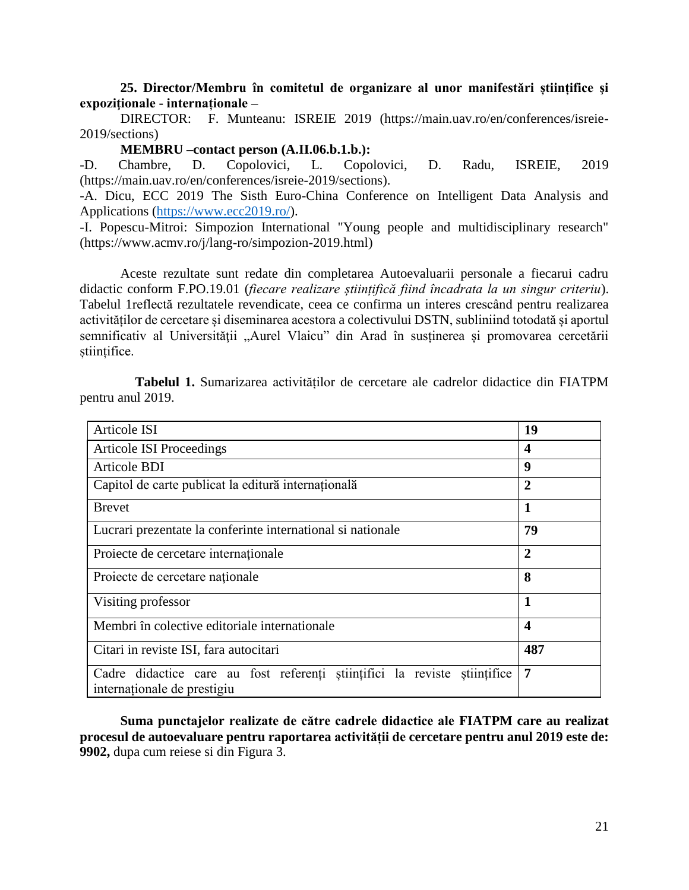**25. Director/Membru în comitetul de organizare al unor manifestări științifice şi expoziţionale - internaționale –**

DIRECTOR: F. Munteanu: ISREIE 2019 (https://main.uav.ro/en/conferences/isreie-2019/sections)

#### **MEMBRU –contact person (A.II.06.b.1.b.):**

-D. Chambre, D. Copolovici, L. Copolovici, D. Radu, ISREIE, 2019 (https://main.uav.ro/en/conferences/isreie-2019/sections).

-A. Dicu, ECC 2019 The Sisth Euro-China Conference on Intelligent Data Analysis and Applications [\(https://www.ecc2019.ro/\)](https://www.ecc2019.ro/).

-I. Popescu-Mitroi: Simpozion International "Young people and multidisciplinary research" (https://www.acmv.ro/j/lang-ro/simpozion-2019.html)

Aceste rezultate sunt redate din completarea Autoevaluarii personale a fiecarui cadru didactic conform F.PO.19.01 (*fiecare realizare științifică fiind încadrata la un singur criteriu*). Tabelul 1reflectă rezultatele revendicate, ceea ce confirma un interes crescând pentru realizarea activităților de cercetare și diseminarea acestora a colectivului DSTN, subliniind totodată și aportul semnificativ al Universității "Aurel Vlaicu" din Arad în susținerea și promovarea cercetării științifice.

| Articole ISI                                                                                             | 19                      |
|----------------------------------------------------------------------------------------------------------|-------------------------|
| <b>Articole ISI Proceedings</b>                                                                          | $\boldsymbol{4}$        |
| Articole BDI                                                                                             | 9                       |
| Capitol de carte publicat la editură internațională                                                      | $\overline{2}$          |
| <b>Brevet</b>                                                                                            | 1                       |
| Lucrari prezentate la conferinte international si nationale                                              | 79                      |
| Proiecte de cercetare internaționale                                                                     | $\overline{2}$          |
| Projecte de cercetare naționale                                                                          | 8                       |
| Visiting professor                                                                                       | 1                       |
| Membri în colective editoriale internationale                                                            | $\overline{\mathbf{4}}$ |
| Citari in reviste ISI, fara autocitari                                                                   | 487                     |
| Cadre didactice care au fost referenți științifici la reviste științifice<br>internaționale de prestigiu | 7                       |

**Tabelul 1.** Sumarizarea activităților de cercetare ale cadrelor didactice din FIATPM pentru anul 2019.

**Suma punctajelor realizate de către cadrele didactice ale FIATPM care au realizat procesul de autoevaluare pentru raportarea activității de cercetare pentru anul 2019 este de: 9902,** dupa cum reiese si din Figura 3.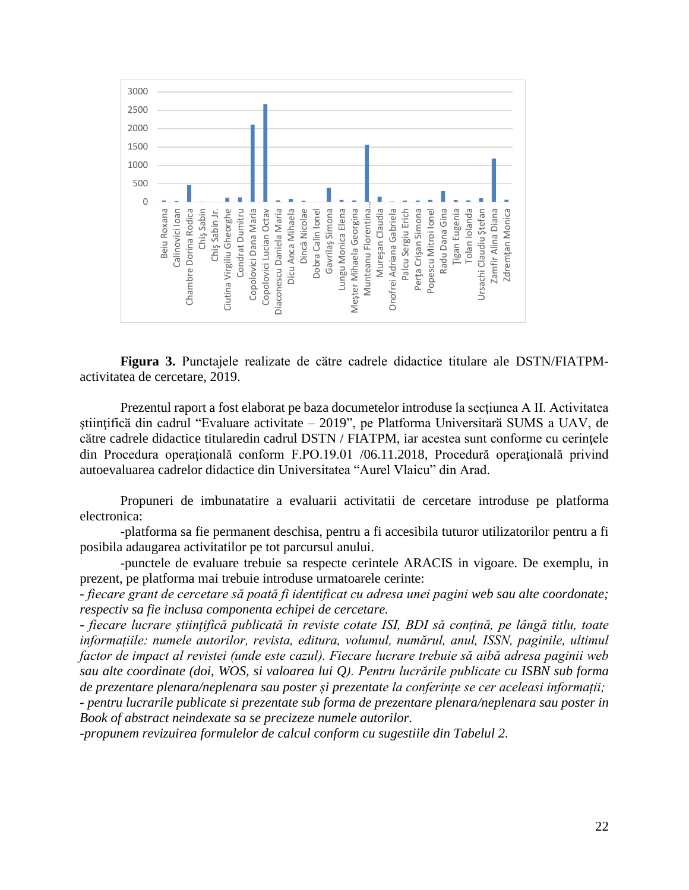

**Figura 3.** Punctajele realizate de cӑtre cadrele didactice titulare ale DSTN/FIATPMactivitatea de cercetare, 2019.

Prezentul raport a fost elaborat pe baza documetelor introduse la secţiunea A II. Activitatea ştiinţificӑ din cadrul "Evaluare activitate – 2019", pe Platforma Universitarӑ SUMS a UAV, de cӑtre cadrele didactice titularedin cadrul DSTN / FIATPM, iar acestea sunt conforme cu cerinţele din Procedura operaţională conform F.PO.19.01 /06.11.2018, [Procedură operaţională privind](http://uav.ro/files/documente/reglementari%20interne%20uav/Procedur%C4%83%20opera%C5%A3ional%C4%83%20privind%20autoevaluarea%20cadrelor%20didactice%20din%20Universitatea%20Aurel%20Vlaicu%20din%20Arad.pdf)  [autoevaluarea cadrelor didactice din Universitatea "Aurel Vlaicu" din Arad.](http://uav.ro/files/documente/reglementari%20interne%20uav/Procedur%C4%83%20opera%C5%A3ional%C4%83%20privind%20autoevaluarea%20cadrelor%20didactice%20din%20Universitatea%20Aurel%20Vlaicu%20din%20Arad.pdf)

Propuneri de imbunatatire a evaluarii activitatii de cercetare introduse pe platforma electronica:

-platforma sa fie permanent deschisa, pentru a fi accesibila tuturor utilizatorilor pentru a fi posibila adaugarea activitatilor pe tot parcursul anului.

-punctele de evaluare trebuie sa respecte cerintele ARACIS in vigoare. De exemplu, in prezent, pe platforma mai trebuie introduse urmatoarele cerinte:

*- fiecare grant de cercetare să poată fi identificat cu adresa unei pagini web sau alte coordonate; respectiv sa fie inclusa componenta echipei de cercetare.*

*- fiecare lucrare științifică publicată în reviste cotate ISI, BDI să conțină, pe lângă titlu, toate informațiile: numele autorilor, revista, editura, volumul, numărul, anul, ISSN, paginile, ultimul factor de impact al revistei (unde este cazul). Fiecare lucrare trebuie să aibă adresa paginii web sau alte coordinate (doi, WOS, si valoarea lui Q). Pentru lucrările publicate cu ISBN sub forma de prezentare plenara/neplenara sau poster și prezentate la conferințe se cer aceleasi informații;*

*- pentru lucrarile publicate si prezentate sub forma de prezentare plenara/neplenara sau poster in Book of abstract neindexate sa se precizeze numele autorilor.*

*-propunem revizuirea formulelor de calcul conform cu sugestiile din Tabelul 2.*